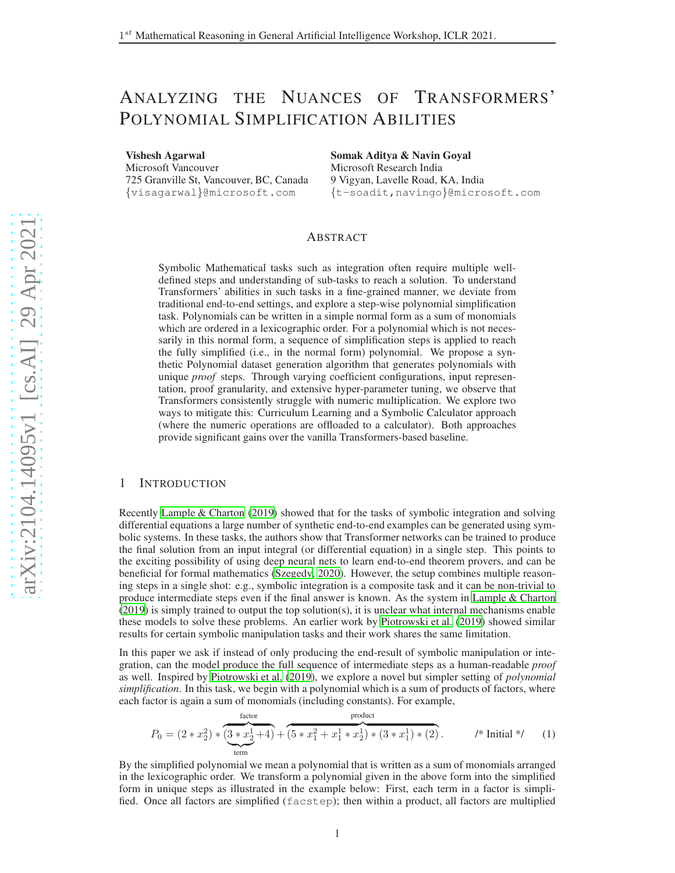# ANALYZING THE NUANCES OF TRANSFORMERS ' POLYNOMIAL SIMPLIFICATION ABILITIES

Vishesh Agarwal

Microsoft Vancouver 725 Granville St, Vancouver, BC, Canada {visagarwal}@microsoft.com

Somak Aditya & Navin Goyal Microsoft Research India 9 Vigyan, Lavelle Road, KA, India {t-soadit,navingo}@microsoft.com

## ABSTRACT

Symbolic Mathematical tasks such as integration often require multiple welldefined steps and understanding of sub-tasks to reach a solution. To understand Transformers' abilities in such tasks in a fine-grained manner, we deviate from traditional end-to-end settings, and explore a step-wise polynomial simplification task. Polynomials can be written in a simple normal form as a sum of monomials which are ordered in a lexicographic order. For a polynomial which is not necessarily in this normal form, a sequence of simplification steps is applied to reach the fully simplified (i.e., in the normal form) polynomial. We propose a synthetic Polynomial dataset generation algorithm that generates polynomials with unique *proof* steps. Through varying coefficient configurations, input representation, proof granularity, and extensive hyper-parameter tuning, we observe that Transformers consistently struggle with numeric multiplication. We explore two ways to mitigate this: Curriculum Learning and a Symbolic Calculator approach (where the numeric operations are offloaded to a calculator). Both approaches provide significant gains over the vanilla Transformers-based baseline.

## 1 INTRODUCTION

Recently [Lample & Charton \(2019\)](#page-4-0) showed that for the tasks of symbolic integration and solving differential equations a large number of synthetic end-to-end examples can be generated using symbolic systems. In these tasks, the authors show that Transformer networks can be trained to produce the final solution from an input integral (or differential equation) in a single step. This points to the exciting possibility of using deep neural nets to learn end-to-end theorem provers, and can be beneficial for formal mathematics [\(Szegedy, 2020\)](#page-4-1). However, the setup combines multiple reasoning steps in a single shot: e.g., symbolic integration is a composite task and it can be non-trivial to produce intermediate steps even if the final answer is known. As the system in [Lample & Charton](#page-4-0) [\(2019\)](#page-4-0) is simply trained to output the top solution(s), it is unclear what internal mechanisms enable these models to solve these problems. An earlier work by [Piotrowski et al. \(2019\)](#page-4-2) showed similar results for certain symbolic manipulation tasks and their work shares the same limitation.

In this paper we ask if instead of only producing the end-result of symbolic manipulation or integration, can the model produce the full sequence of intermediate steps as a human-readable *proof* as well. Inspired by [Piotrowski et al.](#page-4-2) [\(2019\)](#page-4-2), we explore a novel but simpler setting of *polynomial simplification*. In this task, we begin with a polynomial which is a sum of products of factors, where each factor is again a sum of monomials (including constants). For example,

<span id="page-0-0"></span>
$$
P_0 = (2 * x_2^2) * \underbrace{(3 * x_2^1 + 4)}_{\text{term}} + \underbrace{(5 * x_1^2 + x_1^1 * x_2^1) * (3 * x_1^1) * (2)}_{\text{term}}.
$$
 /\* Initial \*/ (1)

By the simplified polynomial we mean a polynomial that is written as a sum of monomials arranged in the lexicographic order. We transform a polynomial given in the above form into the simplified form in unique steps as illustrated in the example below: First, each term in a factor is simplified. Once all factors are simplified (facstep); then within a product, all factors are multiplied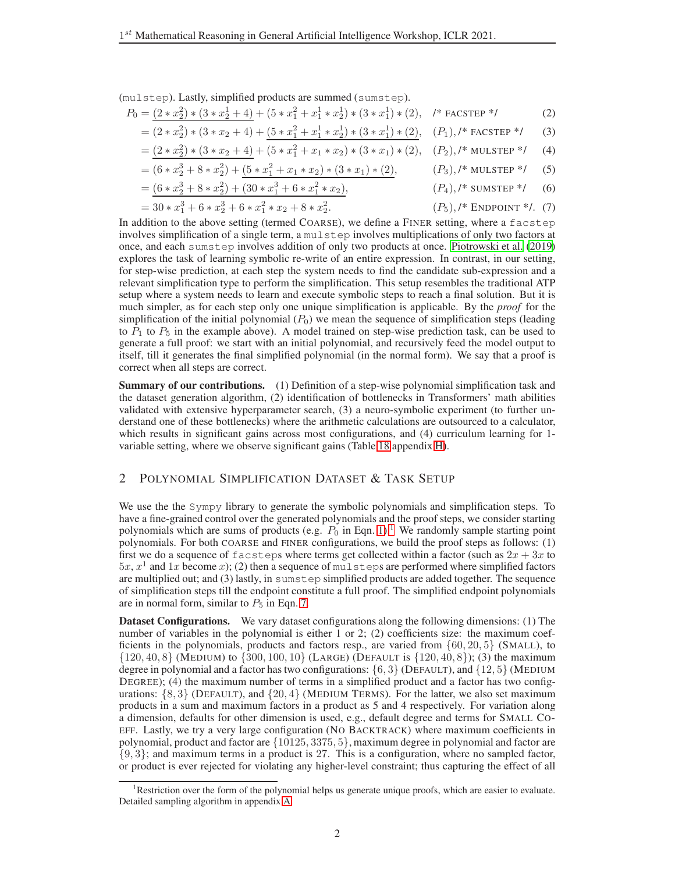(mulstep). Lastly, simplified products are summed (sumstep).

$$
P_0 = \frac{(2*x_2^2) * (3*x_2^1 + 4)}{(2*x_2^2 + 4)} + (5*x_1^2 + x_1^1 * x_2^1) * (3*x_1^1) * (2), \quad \text{/* FACTEP}^{*}
$$
 (2)  

$$
= (2*x_2^2) * (3*x_1 + 4) + (5*x_2^2 + x_1^1 * x_1^1) * (3*x_1^1) * (2)
$$
 (D) /\* EACSTEP \* (3)

$$
= (2 * x_2^2) * (3 * x_2 + 4) + \underbrace{(5 * x_1^2 + x_1^1 * x_2^1) * (3 * x_1^1) * (2)}_{= (2 * x_1^2) * (3 * x_2 + 4) + (5 * x_2^2 + x_1 * x_2) * (3 * x_1) * (2)} \quad (P_1), \text{/* RCSTER */} \tag{3}
$$

$$
= (2 * x_2^2) * (3 * x_2 + 4) + (5 * x_1^2 + x_1 * x_2) * (3 * x_1) * (2), (P_2), \n* MULTEP * (4)
$$

$$
= (6 * x23 + 8 * x22) + (5 * x12 + x1 * x2) * (3 * x1) * (2), \t\t (P3),/* MULTEP */ (5)
$$

$$
= (6 * x23 + 8 * x22) + (30 * x13 + 6 * x12 * x2), \t\t(P4),1 * SUMSTEP */ (6)
$$

<span id="page-1-1"></span>
$$
= 30 * x_1^3 + 6 * x_2^3 + 6 * x_1^2 * x_2 + 8 * x_2^2.
$$
 (P<sub>5</sub>),<sup>\*</sup> ENDPOINT <sup>\*</sup>. (7)

In addition to the above setting (termed COARSE), we define a FINER setting, where a facstep involves simplification of a single term, a mulstep involves multiplications of only two factors at once, and each sumstep involves addition of only two products at once. [Piotrowski et al.](#page-4-2) [\(2019\)](#page-4-2) explores the task of learning symbolic re-write of an entire expression. In contrast, in our setting, for step-wise prediction, at each step the system needs to find the candidate sub-expression and a relevant simplification type to perform the simplification. This setup resembles the traditional ATP setup where a system needs to learn and execute symbolic steps to reach a final solution. But it is much simpler, as for each step only one unique simplification is applicable. By the *proof* for the simplification of the initial polynomial  $(P_0)$  we mean the sequence of simplification steps (leading to  $P_1$  to  $P_5$  in the example above). A model trained on step-wise prediction task, can be used to generate a full proof: we start with an initial polynomial, and recursively feed the model output to itself, till it generates the final simplified polynomial (in the normal form). We say that a proof is correct when all steps are correct.

**Summary of our contributions.** (1) Definition of a step-wise polynomial simplification task and the dataset generation algorithm, (2) identification of bottlenecks in Transformers' math abilities validated with extensive hyperparameter search, (3) a neuro-symbolic experiment (to further understand one of these bottlenecks) where the arithmetic calculations are outsourced to a calculator, which results in significant gains across most configurations, and (4) curriculum learning for 1variable setting, where we observe significant gains (Table [18](#page-15-0) appendix [H\)](#page-13-0).

# 2 POLYNOMIAL SIMPLIFICATION DATASET & TASK SETUP

We use the the Sympy library to generate the symbolic polynomials and simplification steps. To have a fine-grained control over the generated polynomials and the proof steps, we consider starting polynomials which are sums of products (e.g.  $P_0$  in Eqn. [1\)](#page-0-0).<sup>[1](#page-1-0)</sup> We randomly sample starting point polynomials. For both COARSE and FINER configurations, we build the proof steps as follows: (1) first we do a sequence of facsteps where terms get collected within a factor (such as  $2x + 3x$  to  $5x, x<sup>1</sup>$  and  $1x$  become x); (2) then a sequence of mulsteps are performed where simplified factors are multiplied out; and (3) lastly, in sumstep simplified products are added together. The sequence of simplification steps till the endpoint constitute a full proof. The simplified endpoint polynomials are in normal form, similar to  $P_5$  in Eqn. [7.](#page-1-1)

Dataset Configurations. We vary dataset configurations along the following dimensions: (1) The number of variables in the polynomial is either 1 or 2; (2) coefficients size: the maximum coefficients in the polynomials, products and factors resp., are varied from  $\{60, 20, 5\}$  (SMALL), to  $\{120, 40, 8\}$  (MEDIUM) to  $\{300, 100, 10\}$  (LARGE) (DEFAULT is  $\{120, 40, 8\}$ ); (3) the maximum degree in polynomial and a factor has two configurations:  $\{6, 3\}$  (DEFAULT), and  $\{12, 5\}$  (MEDIUM DEGREE); (4) the maximum number of terms in a simplified product and a factor has two configurations:  $\{8, 3\}$  (DEFAULT), and  $\{20, 4\}$  (MEDIUM TERMS). For the latter, we also set maximum products in a sum and maximum factors in a product as 5 and 4 respectively. For variation along a dimension, defaults for other dimension is used, e.g., default degree and terms for SMALL CO-EFF. Lastly, we try a very large configuration (NO BACKTRACK) where maximum coefficients in polynomial, product and factor are {10125, 3375, 5}, maximum degree in polynomial and factor are {9, 3}; and maximum terms in a product is 27. This is a configuration, where no sampled factor, or product is ever rejected for violating any higher-level constraint; thus capturing the effect of all

<span id="page-1-0"></span><sup>&</sup>lt;sup>1</sup>Restriction over the form of the polynomial helps us generate unique proofs, which are easier to evaluate. Detailed sampling algorithm in appendix [A.](#page-4-3)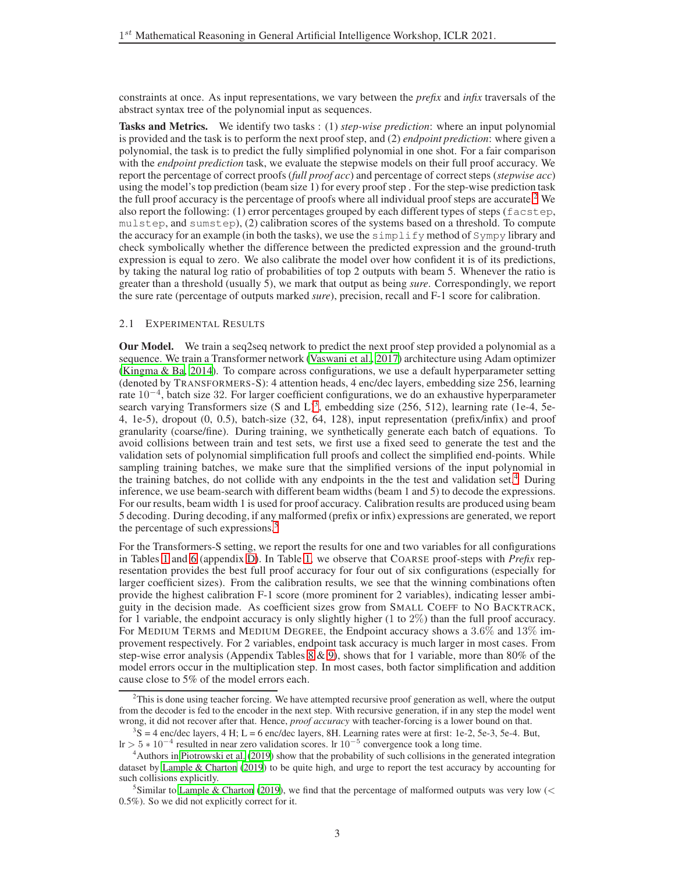constraints at once. As input representations, we vary between the *prefix* and *infix* traversals of the abstract syntax tree of the polynomial input as sequences.

Tasks and Metrics. We identify two tasks : (1) *step-wise prediction*: where an input polynomial is provided and the task is to perform the next proof step, and (2) *endpoint prediction*: where given a polynomial, the task is to predict the fully simplified polynomial in one shot. For a fair comparison with the *endpoint prediction* task, we evaluate the stepwise models on their full proof accuracy. We report the percentage of correct proofs (*full proof acc*) and percentage of correct steps (*stepwise acc*) using the model's top prediction (beam size 1) for every proof step . For the step-wise prediction task the full proof accuracy is the percentage of proofs where all individual proof steps are accurate.<sup>[2](#page-2-0)</sup> We also report the following: (1) error percentages grouped by each different types of steps (facstep, mulstep, and sumstep), (2) calibration scores of the systems based on a threshold. To compute the accuracy for an example (in both the tasks), we use the simplify method of Sympy library and check symbolically whether the difference between the predicted expression and the ground-truth expression is equal to zero. We also calibrate the model over how confident it is of its predictions, by taking the natural log ratio of probabilities of top 2 outputs with beam 5. Whenever the ratio is greater than a threshold (usually 5), we mark that output as being *sure*. Correspondingly, we report the sure rate (percentage of outputs marked *sure*), precision, recall and F-1 score for calibration.

#### 2.1 EXPERIMENTAL RESULTS

Our Model. We train a seq2seq network to predict the next proof step provided a polynomial as a sequence. We train a Transformer network [\(Vaswani et al., 2017\)](#page-4-4) architecture using Adam optimizer [\(Kingma & Ba](#page-4-5), [2014\)](#page-4-5). To compare across configurations, we use a default hyperparameter setting (denoted by TRANSFORMERS-S): 4 attention heads, 4 enc/dec layers, embedding size 256, learning rate 10<sup>−</sup><sup>4</sup> , batch size 32. For larger coefficient configurations, we do an exhaustive hyperparameter search varying Transformers size  $(S \text{ and } L)^3$  $(S \text{ and } L)^3$ , embedding size  $(256, 512)$ , learning rate (1e-4, 5e-4, 1e-5), dropout (0, 0.5), batch-size (32, 64, 128), input representation (prefix/infix) and proof granularity (coarse/fine). During training, we synthetically generate each batch of equations. To avoid collisions between train and test sets, we first use a fixed seed to generate the test and the validation sets of polynomial simplification full proofs and collect the simplified end-points. While sampling training batches, we make sure that the simplified versions of the input polynomial in the training batches, do not collide with any endpoints in the the test and validation set.<sup>[4](#page-2-2)</sup> During inference, we use beam-search with different beam widths (beam 1 and 5) to decode the expressions. For our results, beam width 1 is used for proof accuracy. Calibration results are produced using beam 5 decoding. During decoding, if any malformed (prefix or infix) expressions are generated, we report the percentage of such expressions.<sup>[5](#page-2-3)</sup>

For the Transformers-S setting, we report the results for one and two variables for all configurations in Tables [1](#page-3-0) and [6](#page-8-0) (appendix [D\)](#page-7-0). In Table [1,](#page-3-0) we observe that COARSE proof-steps with *Prefix* representation provides the best full proof accuracy for four out of six configurations (especially for larger coefficient sizes). From the calibration results, we see that the winning combinations often provide the highest calibration F-1 score (more prominent for 2 variables), indicating lesser ambiguity in the decision made. As coefficient sizes grow from SMALL COEFF to NO BACKTRACK, for 1 variable, the endpoint accuracy is only slightly higher (1 to 2%) than the full proof accuracy. For MEDIUM TERMS and MEDIUM DEGREE, the Endpoint accuracy shows a 3.6% and 13% improvement respectively. For 2 variables, endpoint task accuracy is much larger in most cases. From step-wise error analysis (Appendix Tables [8](#page-9-0) & [9\)](#page-10-0), shows that for 1 variable, more than 80% of the model errors occur in the multiplication step. In most cases, both factor simplification and addition cause close to 5% of the model errors each.

<span id="page-2-0"></span> $^{2}$ This is done using teacher forcing. We have attempted recursive proof generation as well, where the output from the decoder is fed to the encoder in the next step. With recursive generation, if in any step the model went wrong, it did not recover after that. Hence, *proof accuracy* with teacher-forcing is a lower bound on that.

<span id="page-2-1"></span> $3S = 4$  enc/dec layers, 4 H; L = 6 enc/dec layers, 8H. Learning rates were at first: 1e-2, 5e-3, 5e-4. But,  $\ln$  > 5  $*$  10<sup>-4</sup> resulted in near zero validation scores. Ir 10<sup>-5</sup> convergence took a long time.

<span id="page-2-2"></span><sup>&</sup>lt;sup>4</sup>Authors in [Piotrowski et al.](#page-4-2) [\(2019](#page-4-2)) show that the probability of such collisions in the generated integration dataset by [Lample & Charton \(2019\)](#page-4-0) to be quite high, and urge to report the test accuracy by accounting for such collisions explicitly.

<span id="page-2-3"></span> $5$ Similar to [Lample & Charton \(2019\)](#page-4-0), we find that the percentage of malformed outputs was very low ( $\lt$ 0.5%). So we did not explicitly correct for it.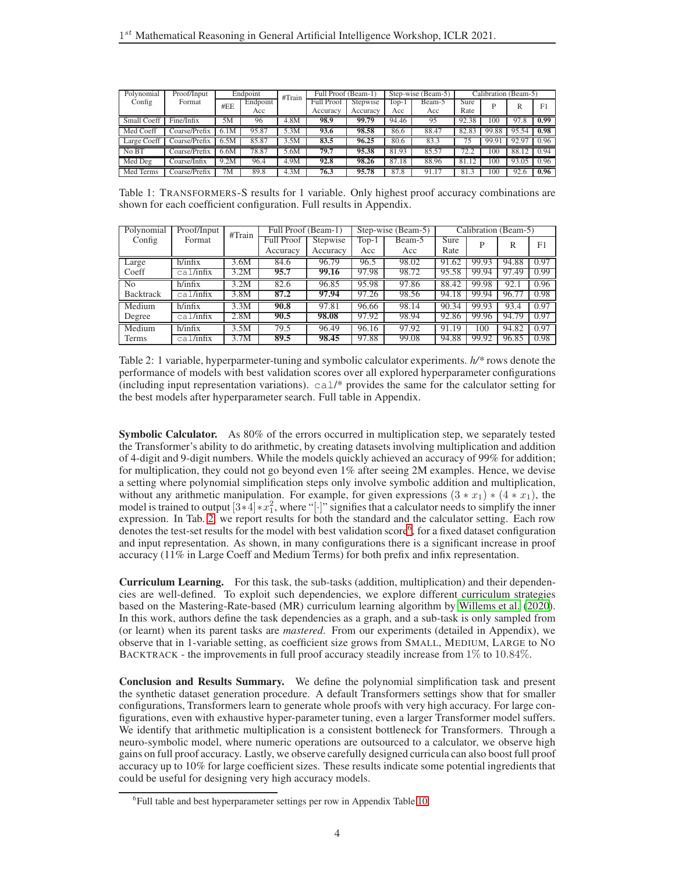<span id="page-3-0"></span>

| Polynomial         | Proof/Input   |      | Endpoint | #Train | Full Proof (Beam-1) |          |       | Step-wise (Beam-5) |       |       | Calibration (Beam-5) |                |
|--------------------|---------------|------|----------|--------|---------------------|----------|-------|--------------------|-------|-------|----------------------|----------------|
| Config             | Format        | #EE  | Endpoint |        | <b>Full Proof</b>   | Stepwise | Top-1 | Beam-5             | Sure  |       | R                    | F <sub>1</sub> |
|                    |               |      | Acc      |        | Accuracy            | Accuracy | Acc   | Acc                | Rate  |       |                      |                |
| <b>Small Coeff</b> | Fine/Infix    | 5M   | 96       | 4.8M   | 98.9                | 99.79    | 94.46 | 95                 | 92.38 | 100   | 97.8                 | 0.99           |
| Med Coeff          | Coarse/Prefix | 6.1M | 95.87    | 5.3M   | 93.6                | 98.58    | 86.6  | 88.47              | 82.83 | 99.88 | 95.54                | 0.98           |
| Large Coeff        | Coarse/Prefix |      | 85.87    | .5M    | 83.5                | 96.25    | 80.6  | 83.3               |       | 99.9  | 92.9                 | 0.96           |
| No BT              | Coarse/Prefix | 6.6M | 78.87    | 5.6M   | 79.7                | 95.38    | 81.93 | 85.57              | 72.2  | 100   | 88.12                | 0.94           |
| Med Deg            | Coarse/Infix  | 9.2M | 96.4     | 4.9M   | 92.8                | 98.26    | 87.18 | 88.96              | 81    | 100   | 93.05                | 0.96           |
| Med Terms          | Coarse/Prefix | 7M   | 89.8     | 4.3M   | 76.3                | 95.78    | 87.8  | 91.17              |       | 100   | 92.6                 | 0.96           |

Table 1: TRANSFORMERS-S results for 1 variable. Only highest proof accuracy combinations are shown for each coefficient configuration. Full results in Appendix.

<span id="page-3-1"></span>

| Polynomial     | Proof/Input | #Train | Full Proof (Beam-1) |          |         | Step-wise (Beam-5) |       | Calibration (Beam-5) |       |      |
|----------------|-------------|--------|---------------------|----------|---------|--------------------|-------|----------------------|-------|------|
| Config         | Format      |        | Full Proof          | Stepwise | $Top-1$ | Beam-5             | Sure  | D                    | R     | F1   |
|                |             |        | Accuracy            | Accuracy | Acc     | Acc                | Rate  |                      |       |      |
| Large          | h/infix     | 3.6M   | 84.6                | 96.79    | 96.5    | 98.02              | 91.62 | 99.93                | 94.88 | 0.97 |
| Coeff          | ca1/infix   | 3.2M   | 95.7                | 99.16    | 97.98   | 98.72              | 95.58 | 99.94                | 97.49 | 0.99 |
| N <sub>o</sub> | h/infix     | 3.2M   | 82.6                | 96.85    | 95.98   | 97.86              | 88.42 | 99.98                | 92.1  | 0.96 |
| Backtrack      | ca1/infix   | 3.8M   | 87.2                | 97.94    | 97.26   | 98.56              | 94.18 | 99.94                | 96.77 | 0.98 |
| Medium         | h/infix     | 3.3M   | 90.8                | 97.81    | 96.66   | 98.14              | 90.34 | 99.93                | 93.4  | 0.97 |
| Degree         | ca1/infix   | 2.8M   | 90.5                | 98.08    | 97.92   | 98.94              | 92.86 | 99.96                | 94.79 | 0.97 |
| Medium         | h/infix     | 3.5M   | 79.5                | 96.49    | 96.16   | 97.92              | 91.19 | 100                  | 94.82 | 0.97 |
| Terms          | cal/infix   | 3.7M   | 89.5                | 98.45    | 97.88   | 99.08              | 94.88 | 99.92                | 96.85 | 0.98 |

Table 2: 1 variable, hyperparmeter-tuning and symbolic calculator experiments. *h/\** rows denote the performance of models with best validation scores over all explored hyperparameter configurations (including input representation variations). cal/\* provides the same for the calculator setting for the best models after hyperparameter search. Full table in Appendix.

Symbolic Calculator. As 80% of the errors occurred in multiplication step, we separately tested the Transformer's ability to do arithmetic, by creating datasets involving multiplication and addition of 4-digit and 9-digit numbers. While the models quickly achieved an accuracy of 99% for addition; for multiplication, they could not go beyond even 1% after seeing 2M examples. Hence, we devise a setting where polynomial simplification steps only involve symbolic addition and multiplication, without any arithmetic manipulation. For example, for given expressions  $(3 * x_1) * (4 * x_1)$ , the model is trained to output  $[3 \times 4] \times x_1^2$ , where "[·]" signifies that a calculator needs to simplify the inner expression. In Tab. [2,](#page-3-1) we report results for both the standard and the calculator setting. Each row denotes the test-set results for the model with best validation score<sup>[6](#page-3-2)</sup>, for a fixed dataset configuration and input representation. As shown, in many configurations there is a significant increase in proof accuracy (11% in Large Coeff and Medium Terms) for both prefix and infix representation.

Curriculum Learning. For this task, the sub-tasks (addition, multiplication) and their dependencies are well-defined. To exploit such dependencies, we explore different curriculum strategies based on the Mastering-Rate-based (MR) curriculum learning algorithm by [Willems et al. \(2020](#page-4-6)). In this work, authors define the task dependencies as a graph, and a sub-task is only sampled from (or learnt) when its parent tasks are *mastered*. From our experiments (detailed in Appendix), we observe that in 1-variable setting, as coefficient size grows from SMALL, MEDIUM, LARGE to NO BACKTRACK - the improvements in full proof accuracy steadily increase from 1% to 10.84%.

Conclusion and Results Summary. We define the polynomial simplification task and present the synthetic dataset generation procedure. A default Transformers settings show that for smaller configurations, Transformers learn to generate whole proofs with very high accuracy. For large configurations, even with exhaustive hyper-parameter tuning, even a larger Transformer model suffers. We identify that arithmetic multiplication is a consistent bottleneck for Transformers. Through a neuro-symbolic model, where numeric operations are outsourced to a calculator, we observe high gains on full proof accuracy. Lastly, we observe carefully designed curricula can also boost full proof accuracy up to 10% for large coefficient sizes. These results indicate some potential ingredients that could be useful for designing very high accuracy models.

<span id="page-3-2"></span><sup>&</sup>lt;sup>6</sup>Full table and best hyperparameter settings per row in Appendix Table [10.](#page-11-0)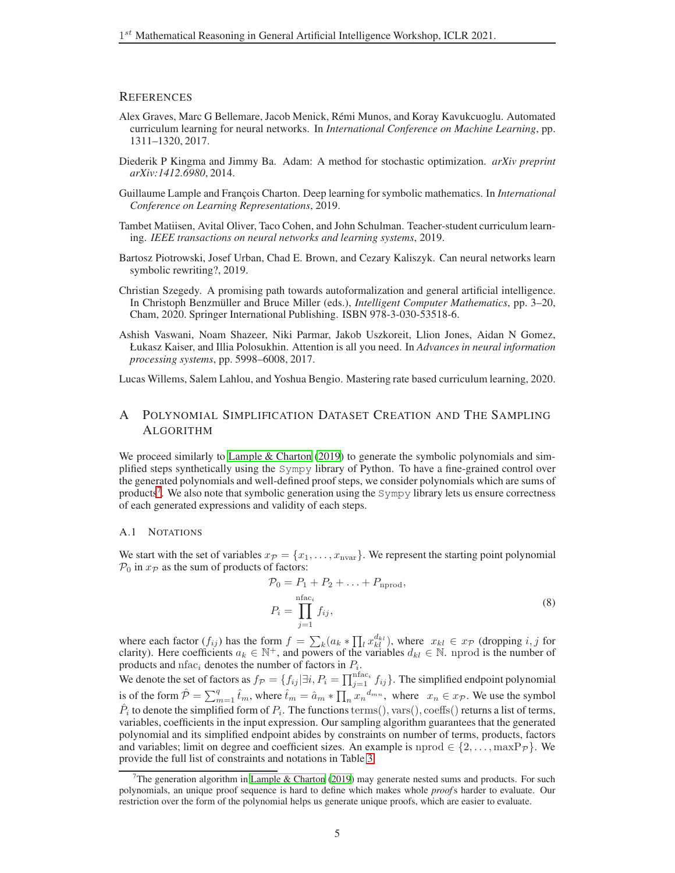## **REFERENCES**

- <span id="page-4-9"></span>Alex Graves, Marc G Bellemare, Jacob Menick, Rémi Munos, and Koray Kavukcuoglu. Automated curriculum learning for neural networks. In *International Conference on Machine Learning*, pp. 1311–1320, 2017.
- <span id="page-4-5"></span>Diederik P Kingma and Jimmy Ba. Adam: A method for stochastic optimization. *arXiv preprint arXiv:1412.6980*, 2014.
- <span id="page-4-0"></span>Guillaume Lample and François Charton. Deep learning for symbolic mathematics. In *International Conference on Learning Representations*, 2019.
- <span id="page-4-8"></span>Tambet Matiisen, Avital Oliver, Taco Cohen, and John Schulman. Teacher-student curriculum learning. *IEEE transactions on neural networks and learning systems*, 2019.
- <span id="page-4-2"></span>Bartosz Piotrowski, Josef Urban, Chad E. Brown, and Cezary Kaliszyk. Can neural networks learn symbolic rewriting?, 2019.
- <span id="page-4-1"></span>Christian Szegedy. A promising path towards autoformalization and general artificial intelligence. In Christoph Benzmüller and Bruce Miller (eds.), *Intelligent Computer Mathematics*, pp. 3–20, Cham, 2020. Springer International Publishing. ISBN 978-3-030-53518-6.
- <span id="page-4-4"></span>Ashish Vaswani, Noam Shazeer, Niki Parmar, Jakob Uszkoreit, Llion Jones, Aidan N Gomez, Łukasz Kaiser, and Illia Polosukhin. Attention is all you need. In *Advances in neural information processing systems*, pp. 5998–6008, 2017.

<span id="page-4-6"></span><span id="page-4-3"></span>Lucas Willems, Salem Lahlou, and Yoshua Bengio. Mastering rate based curriculum learning, 2020.

# A POLYNOMIAL SIMPLIFICATION DATASET CREATION AND THE SAMPLING ALGORITHM

We proceed similarly to Lample  $&$  Charton [\(2019\)](#page-4-0) to generate the symbolic polynomials and simplified steps synthetically using the Sympy library of Python. To have a fine-grained control over the generated polynomials and well-defined proof steps, we consider polynomials which are sums of products<sup>[7](#page-4-7)</sup>. We also note that symbolic generation using the Sympy library lets us ensure correctness of each generated expressions and validity of each steps.

#### A.1 NOTATIONS

We start with the set of variables  $x_P = \{x_1, \ldots, x_{\text{nvar}}\}$ . We represent the starting point polynomial  $P_0$  in  $x_{\mathcal{P}}$  as the sum of products of factors:

$$
\mathcal{P}_0 = P_1 + P_2 + \dots + P_{\text{nprod}},
$$
  
\n
$$
P_i = \prod_{j=1}^{\text{nfac}_i} f_{ij},
$$
\n(8)

where each factor  $(f_{ij})$  has the form  $f = \sum_k (a_k * \prod_l x_{kl}^{d_{kl}})$ , where  $x_{kl} \in x_{\mathcal{P}}$  (dropping i, j for clarity). Here coefficients  $a_k \in \mathbb{N}^+$ , and powers of the variables  $d_{kl} \in \mathbb{N}$ . nprod is the number of products and nfac<sub>i</sub> denotes the number of factors in  $P_i$ .

We denote the set of factors as  $f_{\mathcal{P}} = \{f_{ij} | \exists i, P_i = \prod_{j=1}^{\text{nfac}_i} f_{ij}\}\.$  The simplified endpoint polynomial is of the form  $\hat{\mathcal{P}} = \sum_{m=1}^q \hat{t}_m$ , where  $\hat{t}_m = \hat{a}_m * \prod_n x_n^{d_{mn}}$ , where  $x_n \in x_{\mathcal{P}}$ . We use the symbol  $\hat{P}_i$  to denote the simplified form of  $P_i$ . The functions terms(), vars(), coeffs() returns a list of terms, variables, coefficients in the input expression. Our sampling algorithm guarantees that the generated polynomial and its simplified endpoint abides by constraints on number of terms, products, factors and variables; limit on degree and coefficient sizes. An example is nprod  $\in \{2,\ldots,\max P_{\mathcal{P}}\}\.$  We provide the full list of constraints and notations in Table [3.](#page-5-0)

<span id="page-4-7"></span>The generation algorithm in Lample  $&$  Charton [\(2019](#page-4-0)) may generate nested sums and products. For such polynomials, an unique proof sequence is hard to define which makes whole *proof*s harder to evaluate. Our restriction over the form of the polynomial helps us generate unique proofs, which are easier to evaluate.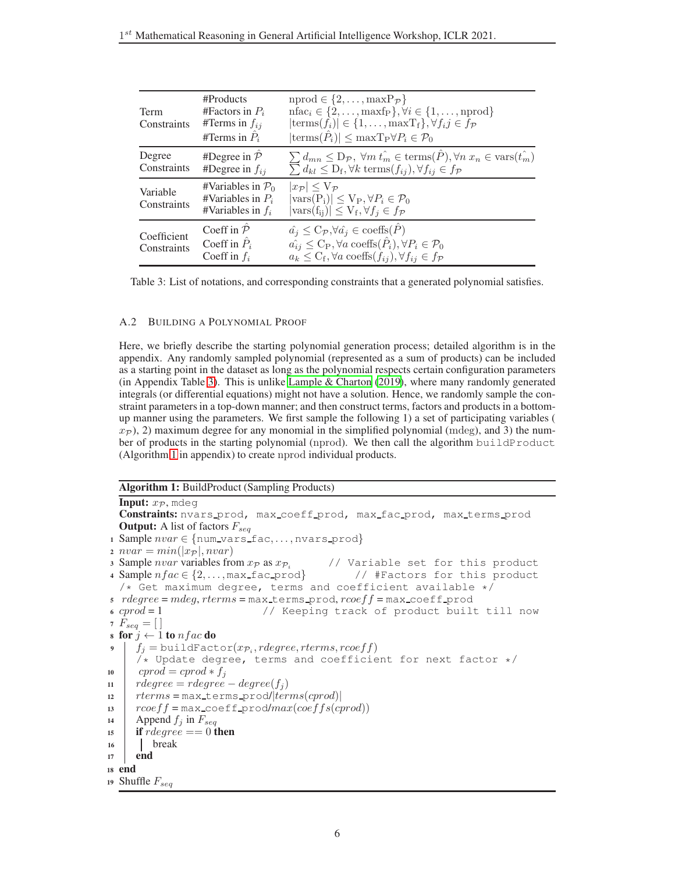<span id="page-5-0"></span>

| Term<br>Constraints        | #Products<br>#Factors in $P_i$<br>#Terms in $f_{ij}$<br>#Terms in $\ddot{P}_i$ | $nprod \in \{2,\ldots,\max P_{\mathcal{P}}\}\$<br>$\text{nfac}_i \in \{2,\ldots,\text{maxfp}\}, \forall i \in \{1,\ldots,\text{nprod}\}\$<br>$ \text{terms}(f_i)  \in \{1,\ldots,\text{maxT}_f\}, \forall f_i j \in f_{\mathcal{P}}$<br>$ \text{terms}(\hat{P}_i)  \leq \max \text{Tr}{\forall P_i \in \mathcal{P}_0}$ |
|----------------------------|--------------------------------------------------------------------------------|------------------------------------------------------------------------------------------------------------------------------------------------------------------------------------------------------------------------------------------------------------------------------------------------------------------------|
| Degree<br>Constraints      | #Degree in $\overline{P}$<br>#Degree in $f_{ij}$                               | $\sum_{i} d_{mn} \leq D_{\mathcal{P}}, \forall m \hat{t_m} \in \text{terms}(\hat{P}), \forall n \; x_n \in \text{vars}(\hat{t_m})$<br>$\sum_{i} d_{kl} \leq D_f, \forall k \; \text{terms}(f_{ij}), \forall f_{ij} \in f_{\mathcal{P}}$                                                                                |
| Variable<br>Constraints    | #Variables in $P_0$<br>#Variables in $P_i$<br>#Variables in $f_i$              | $ x_{\mathcal{P}}  \leq V_{\mathcal{P}}$<br>$ \text{vars}(P_i)  \le V_P, \forall P_i \in \mathcal{P}_0$<br>$ \text{vars}(f_{ii})  \leq V_f, \forall f_i \in f_{\mathcal{P}}$                                                                                                                                           |
| Coefficient<br>Constraints | Coeff in $\overline{P}$<br>Coeff in $\hat{P}_i$<br>Coeff in $f_i$              | $\hat{a}_i \leq C_{\mathcal{P}}, \forall \hat{a}_i \in \text{coeffs}(\hat{P})$<br>$\hat{a}_{ij} \leq C_P, \forall a \text{ coeffs}(\hat{P}_i), \forall P_i \in \mathcal{P}_0$<br>$a_k \leq C_f$ , $\forall a$ coeffs $(f_{ij})$ , $\forall f_{ij} \in f_{\mathcal{P}}$                                                 |

Table 3: List of notations, and corresponding constraints that a generated polynomial satisfies.

## A.2 BUILDING A POLYNOMIAL PROOF

Here, we briefly describe the starting polynomial generation process; detailed algorithm is in the appendix. Any randomly sampled polynomial (represented as a sum of products) can be included as a starting point in the dataset as long as the polynomial respects certain configuration parameters (in Appendix Table [3\)](#page-5-0). This is unlike Lample  $&$  Charton (2019), where many randomly generated integrals (or differential equations) might not have a solution. Hence, we randomly sample the constraint parameters in a top-down manner; and then construct terms, factors and products in a bottomup manner using the parameters. We first sample the following 1) a set of participating variables (  $x_{\mathcal{P}}$ ), 2) maximum degree for any monomial in the simplified polynomial (mdeg), and 3) the number of products in the starting polynomial (nprod). We then call the algorithm buildProduct (Algorithm [1](#page-5-1) in appendix) to create nprod individual products.

#### Algorithm 1: BuildProduct (Sampling Products)

```
Input: x_{\mathcal{P}}, mdeg
  Constraints: nvars prod, max coeff prod, max fac prod, max terms prod
  Output: A list of factors F_{seq}1 Sample nvar \in \{num\_vars\_fac, \ldots, nvars\_prod\}2 \nu var = min(|x_{\mathcal{P}}|, nvar)3 Sample nvar variables from x_{\mathcal{P}} as x_{\mathcal{P}} // Variable set for this product
4 Sample nfac \in \{2,...,\text{max\_fac\_prod}\} // #Factors for this product
  /* Get maximum degree, terms and coefficient available */s rdegree = mdeg, rterms = max terms prod, rcoeff = max coeff prod
6 \textit{crrod} = 1 // Keeping track of product built till now
7 F_{seq} = [8 for j \leftarrow 1 to nfac do
 9 \mid f_j = \text{buildFactor}(x_{\mathcal{P}_i},rdegree,rterms,roeff)/* Update degree, terms and coefficient for next factor */
10 cprod = cprod \ast f<sub>i</sub>
11 rdegree = \text{rdegree} - \text{degree}(f_i)12 rterms = max \text{terms} prod/|terms(cprod)|13 r\text{coeff} = \text{max} \text{coeff} \text{prod} / \text{max}( \text{coeff} \text{f}(\text{cprod}))14 Append f_j in F_{seq}15 if rdegree == 0 then
16 break
17 end
18 end
19 Shuffle F_{seq}
```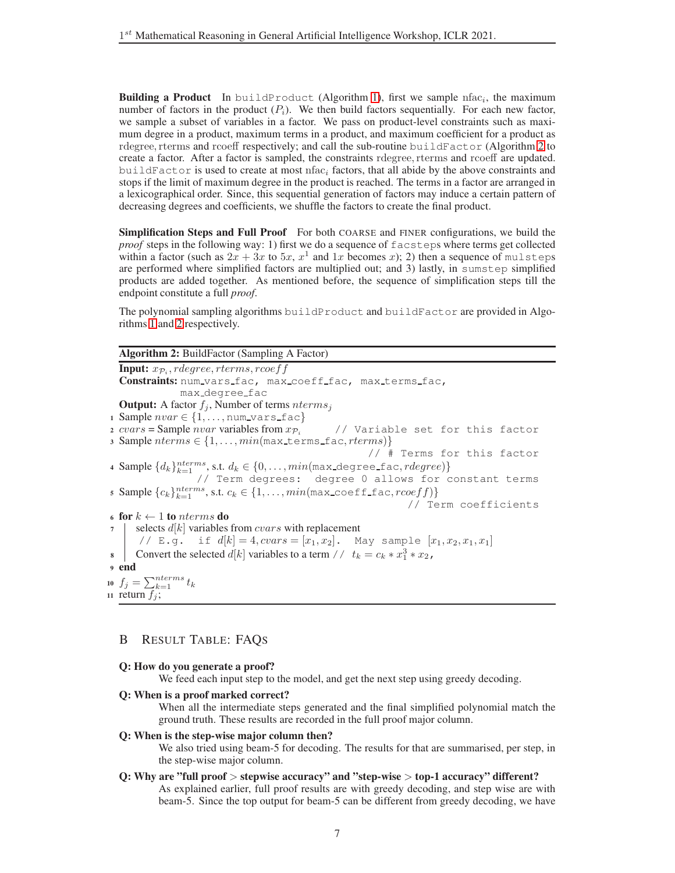**Building a Product** In buildProduct (Algorithm [1\)](#page-5-1), first we sample nfac<sub>i</sub>, the maximum number of factors in the product  $(P_i)$ . We then build factors sequentially. For each new factor, we sample a subset of variables in a factor. We pass on product-level constraints such as maximum degree in a product, maximum terms in a product, and maximum coefficient for a product as rdegree, rterms and rcoeff respectively; and call the sub-routine buildFactor (Algorithm [2](#page-6-0) to create a factor. After a factor is sampled, the constraints rdegree, rterms and rcoeff are updated. buildFactor is used to create at most nfac<sub>i</sub> factors, that all abide by the above constraints and stops if the limit of maximum degree in the product is reached. The terms in a factor are arranged in a lexicographical order. Since, this sequential generation of factors may induce a certain pattern of decreasing degrees and coefficients, we shuffle the factors to create the final product.

Simplification Steps and Full Proof For both COARSE and FINER configurations, we build the *proof* steps in the following way: 1) first we do a sequence of facsteps where terms get collected within a factor (such as  $2x + 3x$  to  $5x$ ,  $x^1$  and  $1x$  becomes x); 2) then a sequence of mulsteps are performed where simplified factors are multiplied out; and 3) lastly, in sumstep simplified products are added together. As mentioned before, the sequence of simplification steps till the endpoint constitute a full *proof*.

The polynomial sampling algorithms buildProduct and buildFactor are provided in Algorithms [1](#page-5-1) and [2](#page-6-0) respectively.

| <b>Algorithm 2: BuildFactor (Sampling A Factor)</b>                                          |
|----------------------------------------------------------------------------------------------|
| <b>Input:</b> $x_{\mathcal{P}_i}$ , rdegree, rterms, rcoef f                                 |
| Constraints: num_vars_fac, max_coeff_fac, max_terms_fac,                                     |
| max_degree_fac                                                                               |
| <b>Output:</b> A factor $f_i$ , Number of terms $nterms_i$                                   |
| 1 Sample $nvar \in \{1, \ldots, \text{num\_vars\_fac}\}\$                                    |
| 2 cvars = Sample nvar variables from $x_{\mathcal{P}_i}$ // Variable set for this factor     |
| 3 Sample $nterms \in \{1, , min(max \text{terms\_fac}, rterms)\}$                            |
| // # Terms for this factor                                                                   |
| 4 Sample $\{d_k\}_{k=1}^{nterms}$ , s.t. $d_k \in \{0, \ldots, min(max\_degree\_fac, ridge,$ |
| // Term degrees: degree 0 allows for constant terms                                          |
| 5 Sample ${c_k}_{k=1}^{nterms}$ , s.t. $c_k \in \{1, \ldots, min(max\_coeff\_fac,́rcoeff)\}$ |
| // Term coefficients                                                                         |
| 6 for $k \leftarrow 1$ to nterms do                                                          |
| $\tau$   selects $d[k]$ variables from <i>cvars</i> with replacement                         |
| // E.g. if $d[k] = 4, cvars = [x_1, x_2]$ . May sample $[x_1, x_2, x_1, x_1]$                |
| 8 Convert the selected d[k] variables to a term // $t_k = c_k * x_1^3 * x_2$ ,               |
| <sub>9</sub> end                                                                             |
| 10 $f_j = \sum_{k=1}^{nterms} t_k$                                                           |
| 11 return $f_i$ ;                                                                            |

# <span id="page-6-0"></span>B RESULT TABLE: FAQS

## Q: How do you generate a proof?

We feed each input step to the model, and get the next step using greedy decoding.

#### Q: When is a proof marked correct?

When all the intermediate steps generated and the final simplified polynomial match the ground truth. These results are recorded in the full proof major column.

## Q: When is the step-wise major column then?

We also tried using beam-5 for decoding. The results for that are summarised, per step, in the step-wise major column.

## Q: Why are "full proof > stepwise accuracy" and "step-wise > top-1 accuracy" different?

As explained earlier, full proof results are with greedy decoding, and step wise are with beam-5. Since the top output for beam-5 can be different from greedy decoding, we have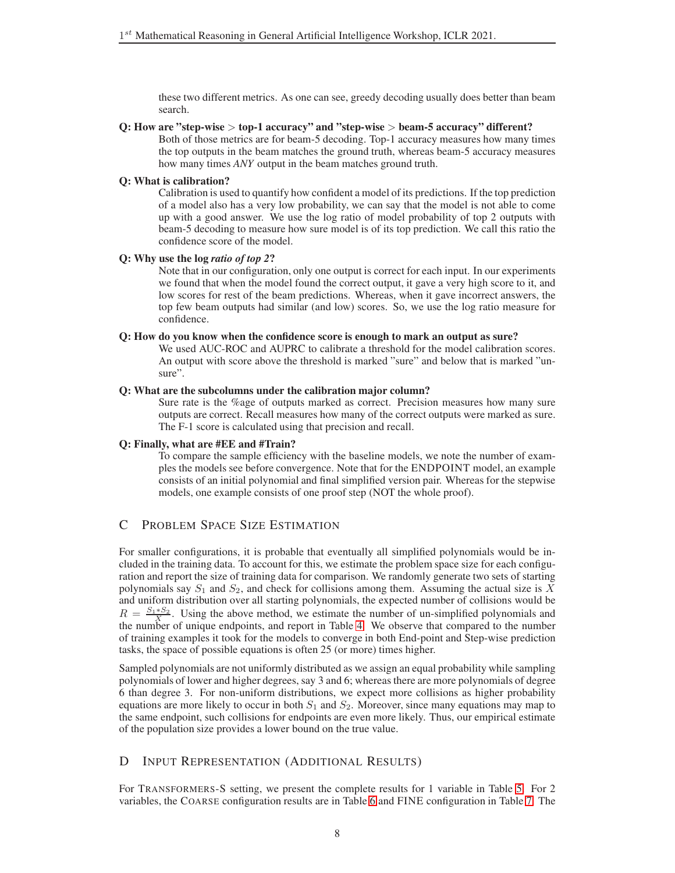these two different metrics. As one can see, greedy decoding usually does better than beam search.

#### Q: How are "step-wise > top-1 accuracy" and "step-wise > beam-5 accuracy" different?

Both of those metrics are for beam-5 decoding. Top-1 accuracy measures how many times the top outputs in the beam matches the ground truth, whereas beam-5 accuracy measures how many times *ANY* output in the beam matches ground truth.

## Q: What is calibration?

Calibration is used to quantify how confident a model of its predictions. If the top prediction of a model also has a very low probability, we can say that the model is not able to come up with a good answer. We use the log ratio of model probability of top 2 outputs with beam-5 decoding to measure how sure model is of its top prediction. We call this ratio the confidence score of the model.

## Q: Why use the log *ratio of top 2*?

Note that in our configuration, only one output is correct for each input. In our experiments we found that when the model found the correct output, it gave a very high score to it, and low scores for rest of the beam predictions. Whereas, when it gave incorrect answers, the top few beam outputs had similar (and low) scores. So, we use the log ratio measure for confidence.

## Q: How do you know when the confidence score is enough to mark an output as sure?

We used AUC-ROC and AUPRC to calibrate a threshold for the model calibration scores. An output with score above the threshold is marked "sure" and below that is marked "unsure".

## Q: What are the subcolumns under the calibration major column?

Sure rate is the %age of outputs marked as correct. Precision measures how many sure outputs are correct. Recall measures how many of the correct outputs were marked as sure. The F-1 score is calculated using that precision and recall.

## Q: Finally, what are #EE and #Train?

To compare the sample efficiency with the baseline models, we note the number of examples the models see before convergence. Note that for the ENDPOINT model, an example consists of an initial polynomial and final simplified version pair. Whereas for the stepwise models, one example consists of one proof step (NOT the whole proof).

# C PROBLEM SPACE SIZE ESTIMATION

For smaller configurations, it is probable that eventually all simplified polynomials would be included in the training data. To account for this, we estimate the problem space size for each configuration and report the size of training data for comparison. We randomly generate two sets of starting polynomials say  $S_1$  and  $S_2$ , and check for collisions among them. Assuming the actual size is X and uniform distribution over all starting polynomials, the expected number of collisions would be  $R = \frac{S_1 * S_2}{X}$ . Using the above method, we estimate the number of un-simplified polynomials and the number of unique endpoints, and report in Table [4.](#page-8-1) We observe that compared to the number of training examples it took for the models to converge in both End-point and Step-wise prediction tasks, the space of possible equations is often 25 (or more) times higher.

Sampled polynomials are not uniformly distributed as we assign an equal probability while sampling polynomials of lower and higher degrees, say 3 and 6; whereas there are more polynomials of degree 6 than degree 3. For non-uniform distributions, we expect more collisions as higher probability equations are more likely to occur in both  $S_1$  and  $S_2$ . Moreover, since many equations may map to the same endpoint, such collisions for endpoints are even more likely. Thus, our empirical estimate of the population size provides a lower bound on the true value.

# <span id="page-7-0"></span>D INPUT REPRESENTATION (ADDITIONAL RESULTS)

For TRANSFORMERS-S setting, we present the complete results for 1 variable in Table [5.](#page-8-2) For 2 variables, the COARSE configuration results are in Table [6](#page-8-0) and FINE configuration in Table [7.](#page-9-1) The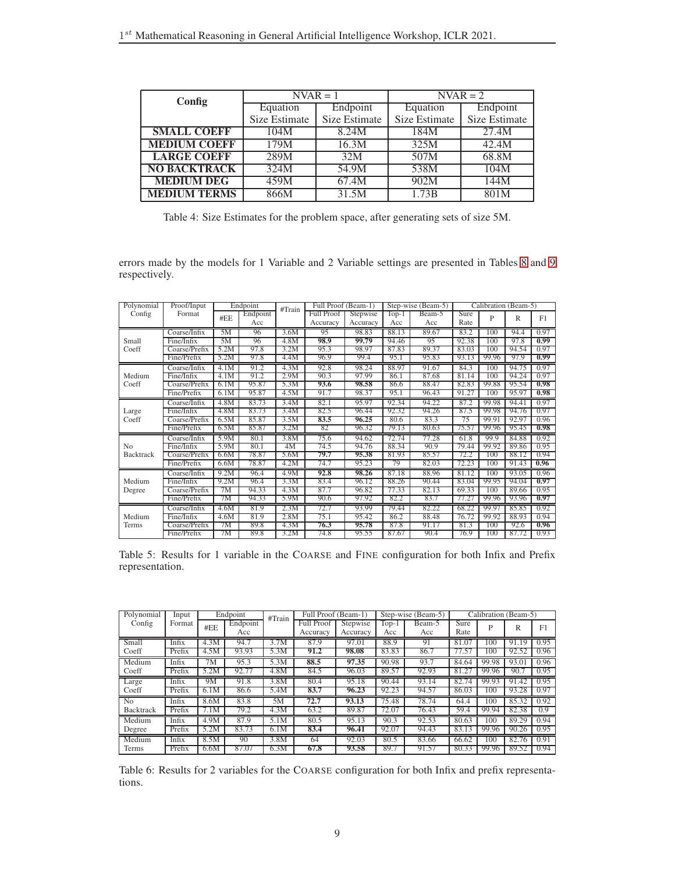<span id="page-8-1"></span>

| Config              |               | $NVAR = 1$         |               | $\overline{\text{NVAR}} = 2$ |
|---------------------|---------------|--------------------|---------------|------------------------------|
|                     | Equation      | Endpoint           | Equation      | Endpoint                     |
|                     | Size Estimate | Size Estimate      | Size Estimate | Size Estimate                |
| <b>SMALL COEFF</b>  | 104M          | 8.24M              | 184M          | 27.4M                        |
| <b>MEDIUM COEFF</b> | 179M          | 16.3M              | 325M          | 42.4M                        |
| <b>LARGE COEFF</b>  | 289M          | 32M                | 507M          | 68.8M                        |
| <b>NO BACKTRACK</b> | 324M          | 54.9M              | 538M          | 104M                         |
| <b>MEDIUM DEG</b>   | 459M          | 67.4M              | 902M          | 144M                         |
| <b>MEDIUM TERMS</b> | 866M          | $3\overline{1.5M}$ | 1.73B         | 801M                         |

Table 4: Size Estimates for the problem space, after generating sets of size 5M.

errors made by the models for 1 Variable and 2 Variable settings are presented in Tables [8](#page-9-0) and [9](#page-10-0) respectively.

<span id="page-8-2"></span>

| Polynomial       | Proof/Input   |      | Endpoint | #Train | Full Proof (Beam-1) |          |         | Step-wise (Beam-5) |       | Calibration (Beam-5) |       |      |
|------------------|---------------|------|----------|--------|---------------------|----------|---------|--------------------|-------|----------------------|-------|------|
| Config           | Format        | #EE  | Endpoint |        | <b>Full Proof</b>   | Stepwise | $Top-1$ | Beam-5             | Sure  | P                    | R     | F1   |
|                  |               |      | Acc      |        | Accuracy            | Accuracy | Acc     | Acc                | Rate  |                      |       |      |
|                  | Coarse/Infix  | 5M   | 96       | 3.6M   | 95                  | 98.83    | 88.13   | 89.67              | 83.2  | 100                  | 94.4  | 0.97 |
| Small            | Fine/Infix    | 5M   | 96       | 4.8M   | 98.9                | 99.79    | 94.46   | 95                 | 92.38 | 100                  | 97.8  | 0.99 |
| Coeff            | Coarse/Prefix | 5.2M | 97.8     | 3.2M   | 95.3                | 98.97    | 87.83   | 89.37              | 83.03 | 100                  | 94.54 | 0.97 |
|                  | Fine/Prefix   | 5.2M | 97.8     | 4.4M   | 96.9                | 99.4     | 95.1    | 95.83              | 93.13 | 99.96                | 97.9  | 0.99 |
|                  | Coarse/Infix  | 4.1M | 91.2     | 4.3M   | 92.8                | 98.24    | 88.97   | 91.67              | 84.3  | 100                  | 94.75 | 0.97 |
| Medium           | Fine/Infix    | 4.1M | 91.2     | 2.9M   | 90.3                | 97.99    | 86.1    | 87.68              | 81.14 | 100                  | 94.24 | 0.97 |
| Coeff            | Coarse/Prefix | 6.1M | 95.87    | 5.3M   | 93.6                | 98.58    | 86.6    | 88.47              | 82.83 | 99.88                | 95.54 | 0.98 |
|                  | Fine/Prefix   | 6.1M | 95.87    | 4.5M   | 91.7                | 98.37    | 95.1    | 96.43              | 91.27 | 100                  | 95.97 | 0.98 |
|                  | Coarse/Infix  | 4.8M | 83.73    | 3.4M   | 82.1                | 95.97    | 92.34   | 94.22              | 87.2  | 99.98                | 94.41 | 0.97 |
| Large            | Fine/Infix    | 4.8M | 83.73    | 3.4M   | 82.5                | 96.44    | 92.32   | 94.26              | 87.5  | 99.98                | 94.76 | 0.97 |
| Coeff            | Coarse/Prefix | 6.5M | 85.87    | 3.5M   | 83.5                | 96.25    | 80.6    | 83.3               | 75    | 99.91                | 92.97 | 0.96 |
|                  | Fine/Prefix   | 6.5M | 85.87    | 3.2M   | 82                  | 96.32    | 79.13   | 80.63              | 75.57 | 99.96                | 95.45 | 0.98 |
|                  | Coarse/Infix  | 5.9M | 80.1     | 3.8M   | 75.6                | 94.62    | 72.74   | 77.28              | 61.8  | 99.9                 | 84.88 | 0.92 |
| N <sub>0</sub>   | Fine/Infix    | 5.9M | 80.1     | 4M     | 74.5                | 94.76    | 88.34   | 90.9               | 79.44 | 99.92                | 89.86 | 0.95 |
| <b>Backtrack</b> | Coarse/Prefix | 6.6M | 78.87    | 5.6M   | 79.7                | 95.38    | 81.93   | 85.57              | 72.2  | 100                  | 88.12 | 0.94 |
|                  | Fine/Prefix   | 6.6M | 78.87    | 4.2M   | 74.7                | 95.23    | 79      | 82.03              | 72.23 | 100                  | 91.43 | 0.96 |
|                  | Coarse/Infix  | 9.2M | 96.4     | 4.9M   | 92.8                | 98.26    | 87.18   | 88.96              | 81.12 | 100                  | 93.05 | 0.96 |
| Medium           | Fine/Infix    | 9.2M | 96.4     | 3.3M   | 83.4                | 96.12    | 88.26   | 90.44              | 83.04 | 99.95                | 94.04 | 0.97 |
| Degree           | Coarse/Prefix | 7M   | 94.33    | 4.3M   | 87.7                | 96.82    | 77.33   | 82.13              | 69.33 | 100                  | 89.66 | 0.95 |
|                  | Fine/Prefix   | 7M   | 94.33    | 5.9M   | 90.6                | 97.92    | 82.2    | 83.7               | 77.27 | 99.96                | 93.96 | 0.97 |
|                  | Coarse/Infix  | 4.6M | 81.9     | 2.3M   | 72.7                | 93.99    | 79.44   | 82.22              | 68.22 | 99.97                | 85.85 | 0.92 |
| Medium           | Fine/Infix    | 4.6M | 81.9     | 2.8M   | 75.1                | 95.42    | 86.2    | 88.48              | 76.72 | 99.92                | 88.93 | 0.94 |
| Terms            | Coarse/Prefix | 7M   | 89.8     | 4.3M   | 76.3                | 95.78    | 87.8    | 91.17              | 81.3  | 100                  | 92.6  | 0.96 |
|                  | Fine/Prefix   | 7M   | 89.8     | 3.2M   | 74.8                | 95.55    | 87.67   | 90.4               | 76.9  | 100                  | 87.72 | 0.93 |

Table 5: Results for 1 variable in the COARSE and FINE configuration for both Infix and Prefix representation.

<span id="page-8-0"></span>

| Polynomial       | Input  |      | Endpoint | #Train | Full Proof (Beam-1) |          |       | Step-wise (Beam-5) |               | Calibration (Beam-5) |       |      |
|------------------|--------|------|----------|--------|---------------------|----------|-------|--------------------|---------------|----------------------|-------|------|
| Config           | Format | #EE  | Endpoint |        | <b>Full Proof</b>   | Stepwise | Top-1 | Beam-5             | Sure          | P                    | R     | F1   |
|                  |        |      | Acc      |        | Accuracy            | Accuracy | Acc   | Acc                | Rate          |                      |       |      |
| Small            | Infix  | 4.3M | 94.7     | 3.7M   | 87.9                | 97.01    | 88.9  | 91                 | 81.07         | 100                  | 91.19 | 0.95 |
| Coeff            | Prefix | 4.5M | 93.93    | 5.3M   | 91.2                | 98.08    | 83.83 | 86.7               | $7.5^{\circ}$ | 100                  | 92.52 | 0.96 |
| Medium           | Infix  | 7M   | 95.3     | 5.3M   | 88.5                | 97.35    | 90.98 | 93.7               | 84.64         | 99.98                | 93.01 | 0.96 |
| Coeff            | Prefix | 5.2M | 92.77    | 4.8M   | 84.5                | 96.03    | 89.57 | 92.93              | 81.27         | 99.96                | 90.7  | 0.95 |
| Large            | Infix  | 9M   | 91.8     | 3.8M   | 80.4                | 95.18    | 90.44 | 93.14              | 82.74         | 99.93                | 91.42 | 0.95 |
| Coeff            | Prefix | 6.1M | 86.6     | 5.4M   | 83.7                | 96.23    | 92.23 | 94.57              | 86.03         | 100                  | 93.28 | 0.97 |
| No.              | Infix  | 8.6M | 83.8     | 5М     | 72.7                | 93.13    | 75.48 | 78.74              | 64.4          | 100                  | 85.32 | 0.92 |
| <b>Backtrack</b> | Prefix | 7.1M | 79.2     | 4.3M   | 63.2                | 89.87    | 72.07 | 76.43              | 59.4          | 99.94                | 82.38 | 0.9  |
| Medium           | Infix  | 4.9M | 87.9     | 5.1M   | 80.5                | 95.13    | 90.3  | 92.53              | 80.63         | 100                  | 89.29 | 0.94 |
| Degree           | Prefix | 5.2M | 83.73    | 6.1M   | 83.4                | 96.41    | 92.07 | 94.43              | 83.13         | 99.96                | 90.26 | 0.95 |
| Medium           | Infix  | 8.5M | 90       | 3.8M   | 64                  | 92.03    | 80.5  | 83.66              | 66.62         | 100                  | 82.76 | 0.91 |
| Terms            | Prefix | 6.6M | 87.07    | 6.3M   | 67.8                | 93.58    | 89.7  | 91.57              | 80.33         | 99.96                | 89.52 | 0.94 |

Table 6: Results for 2 variables for the COARSE configuration for both Infix and prefix representations.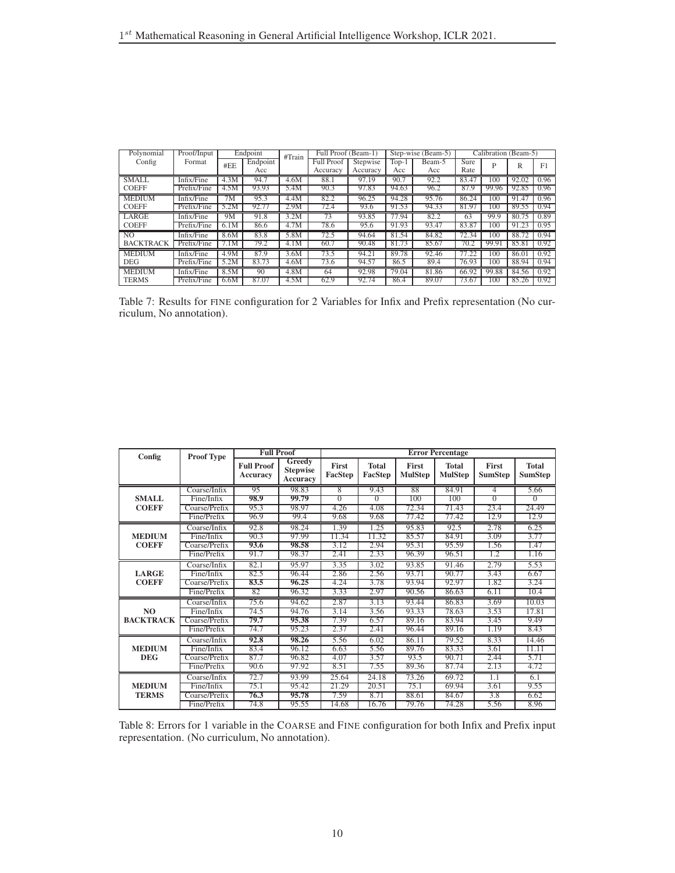<span id="page-9-1"></span>

| Polynomial       | Proof/Input |                 | Endpoint | #Train | Full Proof (Beam-1) |          |         | Step-wise (Beam-5) |       |       | Calibration (Beam-5) |      |
|------------------|-------------|-----------------|----------|--------|---------------------|----------|---------|--------------------|-------|-------|----------------------|------|
| Config           | Format      | #EE             | Endpoint |        | <b>Full Proof</b>   | Stepwise | $Top-1$ | Beam-5             | Sure  | P     | R                    | F1   |
|                  |             |                 | Acc      |        | Accuracy            | Accuracy | Acc     | Acc                | Rate  |       |                      |      |
| SMALL.           | Infix/Fine  | 4.3M            | 94.7     | 4.6M   | 88.1                | 97.19    | 90.7    | 92.2               | 83.47 | 100   | 92.02                | 0.96 |
| <b>COEFF</b>     | Prefix/Fine | 4.5M            | 93.93    | 5.4M   | 90.3                | 97.83    | 94.63   | 96.2               | 87.9  | 99.96 | 92.85                | 0.96 |
| <b>MEDIUM</b>    | Infix/Fine  | $7\overline{M}$ | 95.3     | 4.4M   | 82.2                | 96.25    | 94.28   | 95.76              | 86.24 | 100   | 91.47                | 0.96 |
| <b>COEFF</b>     | Prefix/Fine | 5.2M            | 92.7     | 2.9M   | 72.4                | 93.6     | 91.53   | 94.33              | 81.97 | 100   | 89.55                | 0.94 |
| LARGE            | Infix/Fine  | 9M              | 91.8     | 3.2M   | $7\overline{3}$     | 93.85    | 77.94   | 82.2               | 63    | 99.9  | 80.75                | 0.89 |
| <b>COEFF</b>     | Prefix/Fine | 6.1M            | 86.6     | 4.7M   | 78.6                | 95.6     | 91.93   | 93.47              | 83.87 | 100   | 91.23                | 0.95 |
| N <sub>O</sub>   | Infix/Fine  | 8.6M            | 83.8     | 5.8M   | 72.5                | 94.64    | 81.54   | 84.82              | 72.34 | 100   | 88.72                | 0.94 |
| <b>BACKTRACK</b> | Prefix/Fine | 7.1M            | 79.2     | 4.1M   | 60.7                | 90.48    | 81.73   | 85.67              | 70.2  | 99.91 | 85.81                | 0.92 |
| <b>MEDIUM</b>    | Infix/Fine  | 4.9M            | 87.9     | 3.6M   | 73.5                | 94.21    | 89.78   | 92.46              | 77.22 | 100   | 86.01                | 0.92 |
| <b>DEG</b>       | Prefix/Fine | 5.2M            | 83.73    | 4.6M   | 73.6                | 94.57    | 86.5    | 89.4               | 76.93 | 100   | 88.94                | 0.94 |
| <b>MEDIUM</b>    | Infix/Fine  | 8.5M            | 90       | 4.8M   | 64                  | 92.98    | 79.04   | 81.86              | 66.92 | 99.88 | 84.56                | 0.92 |
| <b>TERMS</b>     | Prefix/Fine | 6.6M            | 87.07    | 4.5M   | 62.9                | 92.74    | 86.4    | 89.07              | 73.67 | 100   | 85.26                | 0.92 |

Table 7: Results for FINE configuration for 2 Variables for Infix and Prefix representation (No curriculum, No annotation).

<span id="page-9-0"></span>

|                  |                   | <b>Full Proof</b>             |                                                     |                         |                         |                                | <b>Error Percentage</b>        |                                |                                |
|------------------|-------------------|-------------------------------|-----------------------------------------------------|-------------------------|-------------------------|--------------------------------|--------------------------------|--------------------------------|--------------------------------|
| Config           | <b>Proof Type</b> | <b>Full Proof</b><br>Accuracy | <b>Greedy</b><br><b>Stepwise</b><br><b>Accuracy</b> | <b>First</b><br>FacStep | <b>Total</b><br>FacStep | <b>First</b><br><b>MulStep</b> | <b>Total</b><br><b>MulStep</b> | <b>First</b><br><b>SumStep</b> | <b>Total</b><br><b>SumStep</b> |
|                  | Coarse/Infix      | 95                            | 98.83                                               | 8                       | 9.43                    | 88                             | 84.91                          | 4                              | 5.66                           |
| <b>SMALL</b>     | Fine/Infix        | 98.9                          | 99.79                                               | $\Omega$                | $\overline{0}$          | 100                            | 100                            | $\overline{0}$                 | $\overline{0}$                 |
| <b>COEFF</b>     | Coarse/Prefix     | 95.3                          | 98.97                                               | 4.26                    | 4.08                    | 72.34                          | 71.43                          | 23.4                           | 24.49                          |
|                  | Fine/Prefix       | 96.9                          | 99.4                                                | 9.68                    | 9.68                    | 77.42                          | 77.42                          | 12.9                           | 12.9                           |
|                  | Coarse/Infix      | 92.8                          | 98.24                                               | 1.39                    | 1.25                    | 95.83                          | 92.5                           | 2.78                           | 6.25                           |
| <b>MEDIUM</b>    | Fine/Infix        | 90.3                          | 97.99                                               | 11.34                   | 11.32                   | 85.57                          | 84.91                          | 3.09                           | 3.77                           |
| <b>COEFF</b>     | Coarse/Prefix     | 93.6                          | 98.58                                               | 3.12                    | 2.94                    | 95.31                          | 95.59                          | 1.56                           | 1.47                           |
|                  | Fine/Prefix       | 91.7                          | 98.37                                               | 2.41                    | 2.33                    | 96.39                          | 96.51                          | 1.2                            | 1.16                           |
|                  | Coarse/Infix      | 82.1                          | 95.97                                               | 3.35                    | 3.02                    | 93.85                          | 91.46                          | 2.79                           | 5.53                           |
| <b>LARGE</b>     | Fine/Infix        | 82.5                          | 96.44                                               | 2.86                    | 2.56                    | 93.71                          | 90.77                          | 3.43                           | 6.67                           |
| <b>COEFF</b>     | Coarse/Prefix     | 83.5                          | 96.25                                               | 4.24                    | 3.78                    | 93.94                          | 92.97                          | 1.82                           | 3.24                           |
|                  | Fine/Prefix       | 82                            | 96.32                                               | 3.33                    | 2.97                    | 90.56                          | 86.63                          | 6.11                           | 10.4                           |
|                  | Coarse/Infix      | 75.6                          | 94.62                                               | 2.87                    | 3.13                    | 93.44                          | 86.83                          | 3.69                           | 10.03                          |
| NO               | Fine/Infix        | 74.5                          | 94.76                                               | 3.14                    | 3.56                    | 93.33                          | 78.63                          | 3.53                           | 17.81                          |
| <b>BACKTRACK</b> | Coarse/Prefix     | 79.7                          | 95.38                                               | 7.39                    | 6.57                    | 89.16                          | 83.94                          | 3.45                           | 9.49                           |
|                  | Fine/Prefix       | 74.7                          | 95.23                                               | 2.37                    | 2.41                    | 96.44                          | 89.16                          | 1.19                           | 8.43                           |
|                  | Coarse/Infix      | 92.8                          | 98.26                                               | 5.56                    | 6.02                    | 86.11                          | 79.52                          | 8.33                           | 14.46                          |
| <b>MEDIUM</b>    | Fine/Infix        | 83.4                          | 96.12                                               | 6.63                    | 5.56                    | 89.76                          | 83.33                          | 3.61                           | 11.11                          |
| <b>DEG</b>       | Coarse/Prefix     | 87.7                          | 96.82                                               | 4.07                    | 3.57                    | 93.5                           | 90.71                          | 2.44                           | 5.71                           |
|                  | Fine/Prefix       | 90.6                          | 97.92                                               | 8.51                    | 7.55                    | 89.36                          | 87.74                          | 2.13                           | 4.72                           |
|                  | Coarse/Infix      | 72.7                          | 93.99                                               | 25.64                   | 24.18                   | 73.26                          | 69.72                          | 1.1                            | 6.1                            |
| <b>MEDIUM</b>    | Fine/Infix        | 75.1                          | 95.42                                               | 21.29                   | 20.51                   | 75.1                           | 69.94                          | 3.61                           | 9.55                           |
| <b>TERMS</b>     | Coarse/Prefix     | 76.3                          | 95.78                                               | 7.59                    | 8.71                    | 88.61                          | 84.67                          | 3.8                            | 6.62                           |
|                  | Fine/Prefix       | 74.8                          | 95.55                                               | 14.68                   | 16.76                   | 79.76                          | 74.28                          | 5.56                           | 8.96                           |

Table 8: Errors for 1 variable in the COARSE and FINE configuration for both Infix and Prefix input representation. (No curriculum, No annotation).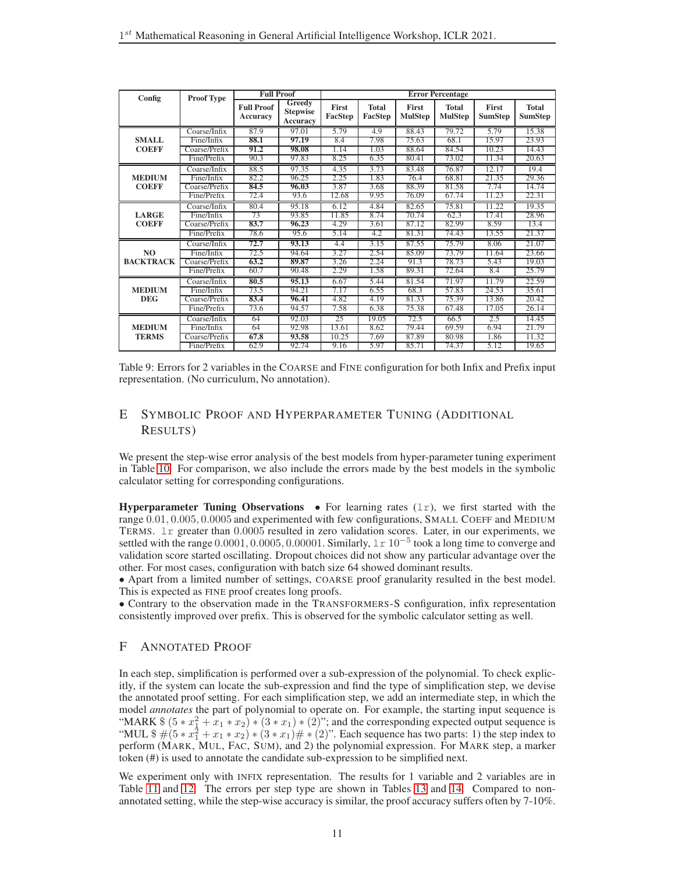<span id="page-10-0"></span>

| Config           | <b>Proof Type</b> | <b>Full Proof</b>                    |                                       |                  |                         |                         | <b>Error Percentage</b>        |                         |                                |
|------------------|-------------------|--------------------------------------|---------------------------------------|------------------|-------------------------|-------------------------|--------------------------------|-------------------------|--------------------------------|
|                  |                   | <b>Full Proof</b><br><b>Accuracy</b> | Greedy<br><b>Stepwise</b><br>Accuracy | First<br>FacStep | <b>Total</b><br>FacStep | First<br><b>MulStep</b> | <b>Total</b><br><b>MulStep</b> | First<br><b>SumStep</b> | <b>Total</b><br><b>SumStep</b> |
|                  | Coarse/Infix      | 87.9                                 | 97.01                                 | 5.79             | 4.9                     | 88.43                   | 79.72                          | 5.79                    | 15.38                          |
| <b>SMALL</b>     | Fine/Infix        | 88.1                                 | 97.19                                 | 8.4              | 7.98                    | 75.63                   | 68.1                           | 15.97                   | 23.93                          |
| <b>COEFF</b>     | Coarse/Prefix     | 91.2                                 | 98.08                                 | 1.14             | 1.03                    | 88.64                   | 84.54                          | 10.23                   | 14.43                          |
|                  | Fine/Prefix       | 90.3                                 | 97.83                                 | 8.25             | 6.35                    | 80.41                   | 73.02                          | 11.34                   | 20.63                          |
|                  | Coarse/Infix      | 88.5                                 | 97.35                                 | 4.35             | 3.73                    | 83.48                   | 76.87                          | 12.17                   | 19.4                           |
| <b>MEDIUM</b>    | Fine/Infix        | 82.2                                 | 96.25                                 | 2.25             | 1.83                    | 76.4                    | 68.81                          | 21.35                   | 29.36                          |
| <b>COEFF</b>     | Coarse/Prefix     | 84.5                                 | 96.03                                 | 3.87             | 3.68                    | 88.39                   | 81.58                          | 7.74                    | 14.74                          |
|                  | Fine/Prefix       | 72.4                                 | 93.6                                  | 12.68            | 9.95                    | 76.09                   | 67.74                          | 11.23                   | 22.31                          |
|                  | Coarse/Infix      | 80.4                                 | 95.18                                 | 6.12             | 4.84                    | 82.65                   | 75.81                          | 11.22                   | 19.35                          |
| <b>LARGE</b>     | Fine/Infix        | 73                                   | 93.85                                 | 11.85            | 8.74                    | 70.74                   | 62.3                           | 17.41                   | 28.96                          |
| <b>COEFF</b>     | Coarse/Prefix     | 83.7                                 | 96.23                                 | 4.29             | 3.61                    | 87.12                   | 82.99                          | 8.59                    | 13.4                           |
|                  | Fine/Prefix       | 78.6                                 | 95.6                                  | 5.14             | 4.2                     | 81.31                   | 74.43                          | 13.55                   | 21.37                          |
|                  | Coarse/Infix      | 72.7                                 | 93.13                                 | 4.4              | 3.15                    | 87.55                   | 75.79                          | 8.06                    | 21.07                          |
| N <sub>O</sub>   | Fine/Infix        | 72.5                                 | 94.64                                 | 3.27             | 2.54                    | 85.09                   | 73.79                          | 11.64                   | 23.66                          |
| <b>BACKTRACK</b> | Coarse/Prefix     | 63.2                                 | 89.87                                 | 3.26             | 2.24                    | 91.3                    | 78.73                          | 5.43                    | 19.03                          |
|                  | Fine/Prefix       | 60.7                                 | 90.48                                 | 2.29             | 1.58                    | 89.31                   | 72.64                          | 8.4                     | 25.79                          |
|                  | Coarse/Infix      | 80.5                                 | 95.13                                 | 6.67             | 5.44                    | 81.54                   | 71.97                          | 11.79                   | 22.59                          |
| <b>MEDIUM</b>    | Fine/Infix        | 73.5                                 | 94.21                                 | 7.17             | 6.55                    | 68.3                    | 57.83                          | 24.53                   | 35.61                          |
| <b>DEG</b>       | Coarse/Prefix     | 83.4                                 | 96.41                                 | 4.82             | 4.19                    | 81.33                   | 75.39                          | 13.86                   | 20.42                          |
|                  | Fine/Prefix       | 73.6                                 | 94.57                                 | 7.58             | 6.38                    | 75.38                   | 67.48                          | 17.05                   | 26.14                          |
|                  | Coarse/Infix      | 64                                   | 92.03                                 | 25               | 19.05                   | 72.5                    | 66.5                           | 2.5                     | 14.45                          |
| <b>MEDIUM</b>    | Fine/Infix        | 64                                   | 92.98                                 | 13.61            | 8.62                    | 79.44                   | 69.59                          | 6.94                    | 21.79                          |
| <b>TERMS</b>     | Coarse/Prefix     | 67.8                                 | 93.58                                 | 10.25            | 7.69                    | 87.89                   | 80.98                          | 1.86                    | 11.32                          |
|                  | Fine/Prefix       | 62.9                                 | 92.74                                 | 9.16             | 5.97                    | 85.71                   | 74.37                          | 5.12                    | 19.65                          |

Table 9: Errors for 2 variables in the COARSE and FINE configuration for both Infix and Prefix input representation. (No curriculum, No annotation).

# E SYMBOLIC PROOF AND HYPERPARAMETER TUNING (ADDITIONAL RESULTS)

We present the step-wise error analysis of the best models from hyper-parameter tuning experiment in Table [10.](#page-11-0) For comparison, we also include the errors made by the best models in the symbolic calculator setting for corresponding configurations.

**Hyperparameter Tuning Observations** • For learning rates  $(1r)$ , we first started with the range 0.01, 0.005, 0.0005 and experimented with few configurations, SMALL COEFF and MEDIUM TERMS. lr greater than 0.0005 resulted in zero validation scores. Later, in our experiments, we settled with the range 0.0001, 0.0005, 0.00001. Similarly, 1 r 10<sup>-5</sup> took a long time to converge and validation score started oscillating. Dropout choices did not show any particular advantage over the other. For most cases, configuration with batch size 64 showed dominant results.

• Apart from a limited number of settings, COARSE proof granularity resulted in the best model. This is expected as FINE proof creates long proofs.

• Contrary to the observation made in the TRANSFORMERS-S configuration, infix representation consistently improved over prefix. This is observed for the symbolic calculator setting as well.

# F ANNOTATED PROOF

In each step, simplification is performed over a sub-expression of the polynomial. To check explicitly, if the system can locate the sub-expression and find the type of simplification step, we devise the annotated proof setting. For each simplification step, we add an intermediate step, in which the model *annotates* the part of polynomial to operate on. For example, the starting input sequence is "MARK  $\$(5 * x_1^2 + x_1 * x_2) * (3 * x_1) * (2)$ "; and the corresponding expected output sequence is "MUL  $\frac{1}{2}$   $\#$   $(5 * x_1^2 + x_1 * x_2) * (3 * x_1) \# * (2)$ ". Each sequence has two parts: 1) the step index to perform (MARK, MUL, FAC, SUM), and 2) the polynomial expression. For MARK step, a marker token (#) is used to annotate the candidate sub-expression to be simplified next.

We experiment only with INFIX representation. The results for 1 variable and 2 variables are in Table [11](#page-12-0) and [12.](#page-12-1) The errors per step type are shown in Tables [13](#page-12-2) and [14.](#page-12-3) Compared to nonannotated setting, while the step-wise accuracy is similar, the proof accuracy suffers often by 7-10%.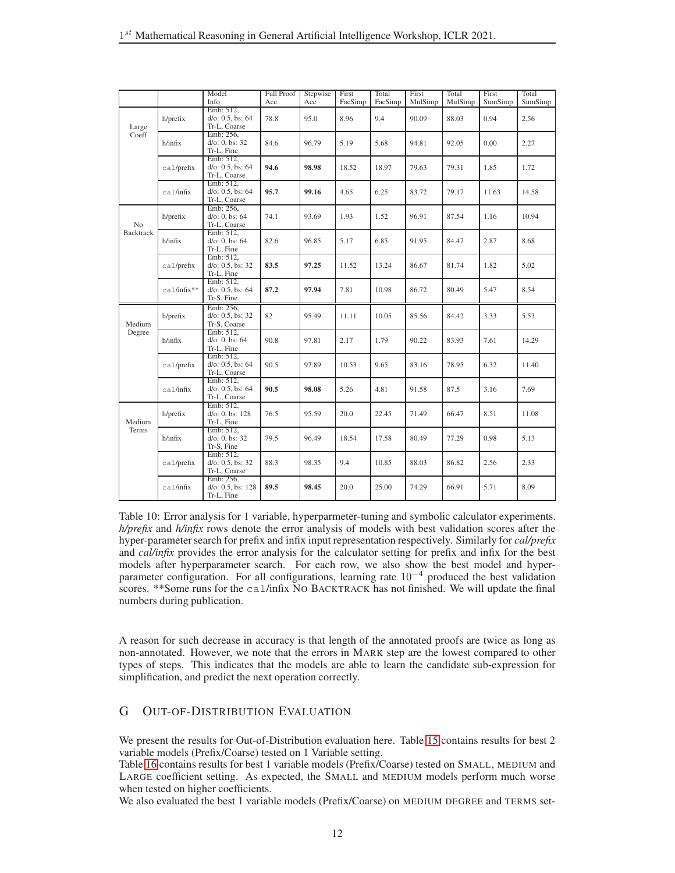<span id="page-11-0"></span>

|                  |               | Model<br>Info                                    | <b>Full Proof</b><br>Acc | Stepwise<br>Acc | First<br>FacSimp | Total<br>FacSimp | First<br>MulSimp | Total<br>MulSimp | First<br>SumSimp | Total<br>SumSimp |
|------------------|---------------|--------------------------------------------------|--------------------------|-----------------|------------------|------------------|------------------|------------------|------------------|------------------|
| Large            | h/prefix      | Emb: 512,<br>$d$ /o: 0.5, bs: 64<br>Tr-L, Coarse | 78.8                     | 95.0            | 8.96             | 9.4              | 90.09            | 88.03            | 0.94             | 2.56             |
| Coeff            | h/infix       | Emb: 256,<br>d/o: 0, bs: 32<br>Tr-L. Fine        | 84.6                     | 96.79           | 5.19             | 5.68             | 94.81            | 92.05            | 0.00             | 2.27             |
|                  | ca1/prefix    | Emb: 512,<br>$d$ /o: 0.5, bs: 64<br>Tr-L, Coarse | 94.6                     | 98.98           | 18.52            | 18.97            | 79.63            | 79.31            | 1.85             | 1.72             |
|                  | ca1/infix     | Emb: 512,<br>$d$ /o: 0.5, bs: 64<br>Tr-L, Coarse | 95.7                     | 99.16           | 4.65             | 6.25             | 83.72            | 79.17            | 11.63            | 14.58            |
| N <sub>o</sub>   | h/prefix      | Emb: 256,<br>$d$ /o: 0, bs: 64<br>Tr-L, Coarse   | 74.1                     | 93.69           | 1.93             | 1.52             | 96.91            | 87.54            | 1.16             | 10.94            |
| <b>Backtrack</b> | h/infix       | Emb: 512,<br>d/o: 0, bs: 64<br>Tr-L, Fine        | 82.6                     | 96.85           | 5.17             | 6.85             | 91.95            | 84.47            | 2.87             | 8.68             |
|                  | ca1/prefix    | Emb: 512,<br>$d$ /o: 0.5, bs: 32<br>Tr-L, Fine   | 83.5                     | 97.25           | 11.52            | 13.24            | 86.67            | 81.74            | 1.82             | 5.02             |
|                  | $ca1/infix**$ | Emb: 512,<br>$d$ /o: 0.5, bs: 64<br>Tr-S, Fine   | 87.2                     | 97.94           | 7.81             | 10.98            | 86.72            | 80.49            | 5.47             | 8.54             |
| Medium           | h/prefix      | Emb: 256,<br>$d$ /o: 0.5, bs: 32<br>Tr-S, Coarse | 82                       | 95.49           | 11.11            | 10.05            | 85.56            | 84.42            | 3.33             | 5.53             |
| Degree           | h/infix       | Emb: 512,<br>d/o: 0, bs: 64<br>Tr-L, Fine        | 90.8                     | 97.81           | 2.17             | 1.79             | 90.22            | 83.93            | 7.61             | 14.29            |
|                  | ca1/prefix    | Emb: 512,<br>$d$ /o: 0.5, bs: 64<br>Tr-L, Coarse | 90.5                     | 97.89           | 10.53            | 9.65             | 83.16            | 78.95            | 6.32             | 11.40            |
|                  | ca1/infix     | Emb: 512,<br>$d$ /o: 0.5, bs: 64<br>Tr-L, Coarse | 90.5                     | 98.08           | 5.26             | 4.81             | 91.58            | 87.5             | 3.16             | 7.69             |
| Medium           | h/prefix      | Emb: 512,<br>$d$ /o: 0, bs: 128<br>Tr-L, Fine    | 76.5                     | 95.59           | 20.0             | 22.45            | 71.49            | 66.47            | 8.51             | 11.08            |
| Terms            | h/infix       | Emb: 512,<br>$d$ /o: 0, bs: 32<br>Tr-S, Fine     | 79.5                     | 96.49           | 18.54            | 17.58            | 80.49            | 77.29            | 0.98             | 5.13             |
|                  | cal/prefix    | Emb: 512,<br>$d$ /o: 0.5, bs: 32<br>Tr-L, Coarse | 88.3                     | 98.35           | 9.4              | 10.85            | 88.03            | 86.82            | 2.56             | 2.33             |
|                  | cal/infix     | Emb: 256,<br>d/o: 0.5, bs: 128<br>Tr-L, Fine     | 89.5                     | 98.45           | 20.0             | 25.00            | 74.29            | 66.91            | 5.71             | 8.09             |

Table 10: Error analysis for 1 variable, hyperparmeter-tuning and symbolic calculator experiments. *h/prefix* and *h/infix* rows denote the error analysis of models with best validation scores after the hyper-parameter search for prefix and infix input representation respectively. Similarly for *cal/prefix* and *cal/infix* provides the error analysis for the calculator setting for prefix and infix for the best models after hyperparameter search. For each row, we also show the best model and hyperparameter configuration. For all configurations, learning rate  $10^{-4}$  produced the best validation scores. \*\*Some runs for the cal/infix NO BACKTRACK has not finished. We will update the final numbers during publication.

A reason for such decrease in accuracy is that length of the annotated proofs are twice as long as non-annotated. However, we note that the errors in MARK step are the lowest compared to other types of steps. This indicates that the models are able to learn the candidate sub-expression for simplification, and predict the next operation correctly.

# G OUT-OF-DISTRIBUTION EVALUATION

We present the results for Out-of-Distribution evaluation here. Table [15](#page-13-1) contains results for best 2 variable models (Prefix/Coarse) tested on 1 Variable setting.

Table [16](#page-13-2) contains results for best 1 variable models (Prefix/Coarse) tested on SMALL, MEDIUM and LARGE coefficient setting. As expected, the SMALL and MEDIUM models perform much worse when tested on higher coefficients.

We also evaluated the best 1 variable models (Prefix/Coarse) on MEDIUM DEGREE and TERMS set-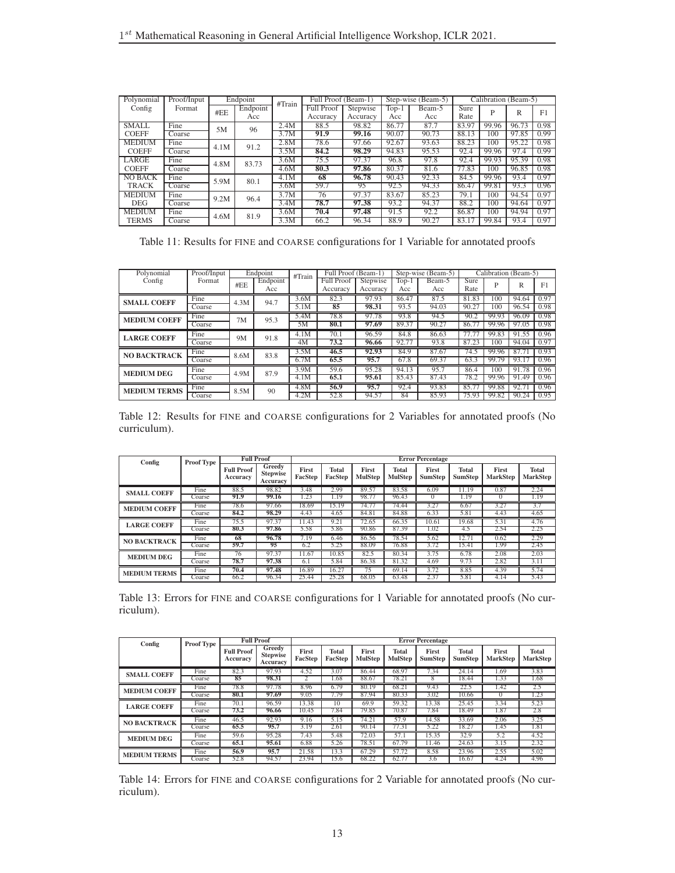<span id="page-12-0"></span>

| Polynomial     | Proof/Input |      | Endpoint | #Train | Full Proof (Beam-1) |          |       | Step-wise (Beam-5) |       | Calibration (Beam-5) |       |      |
|----------------|-------------|------|----------|--------|---------------------|----------|-------|--------------------|-------|----------------------|-------|------|
| Config         | Format      | #EE  | Endpoint |        | <b>Full Proof</b>   | Stepwise | Top-1 | Beam-5             | Sure  | P                    | R     | F1   |
|                |             |      | Acc      |        | Accuracy            | Accuracy | Acc   | Acc                | Rate  |                      |       |      |
| <b>SMALL</b>   | Fine        | 5M   | 96       | 2.4M   | 88.5                | 98.82    | 86.77 | 87.7               | 83.97 | 99.96                | 96.73 | 0.98 |
| <b>COEFF</b>   | Coarse      |      |          | 3.7M   | 91.9                | 99.16    | 90.07 | 90.73              | 88.13 | 100                  | 97.85 | 0.99 |
| <b>MEDIUM</b>  | Fine        | 4.1M | 91.2     | 2.8M   | 78.6                | 97.66    | 92.67 | 93.63              | 88.23 | 100                  | 95.22 | 0.98 |
| <b>COEFF</b>   | Coarse      |      |          | 3.5M   | 84.2                | 98.29    | 94.83 | 95.53              | 92.4  | 99.96                | 97.4  | 0.99 |
| LARGE          | Fine        | 4.8M | 83.73    | 3.6M   | 75.5                | 97.37    | 96.8  | 97.8               | 92.4  | 99.93                | 95.39 | 0.98 |
| <b>COEFF</b>   | Coarse      |      |          | 4.6M   | 80.3                | 97.86    | 80.37 | 81.6               | 77.83 | 100                  | 96.85 | 0.98 |
| <b>NO BACK</b> | Fine        | 5.9M | 80.1     | 4.1M   | 68                  | 96.78    | 90.43 | 92.33              | 84.5  | 99.96                | 93.4  | 0.97 |
| <b>TRACK</b>   | Coarse      |      |          | 3.6M   | 59.7                | 95       | 92.5  | 94.33              | 86.47 | 99.81                | 93.3  | 0.96 |
| <b>MEDIUM</b>  | Fine        | 9.2M | 96.4     | 3.7M   | 76                  | 97.37    | 83.67 | 85.23              | 79.1  | 100                  | 94.54 | 0.97 |
| <b>DEG</b>     | Coarse      |      |          | 3.4M   | 78.7                | 97.38    | 93.2  | 94.37              | 88.2  | 100                  | 94.64 | 0.97 |
| <b>MEDIUM</b>  | Fine        | 4.6M | 81.9     | 3.6M   | 70.4                | 97.48    | 91.5  | 92.2               | 86.87 | 100                  | 94.94 | 0.97 |
| <b>TERMS</b>   | Coarse      |      |          | 3.3M   | 66.2                | 96.34    | 88.9  | 90.27              | 83.17 | 99.84                | 93.4  | 0.97 |

Table 11: Results for FINE and COARSE configurations for 1 Variable for annotated proofs

<span id="page-12-1"></span>

| Polynomial          | Proof/Input |      | Endpoint | #Train | Full Proof (Beam-1) |          | Step-wise (Beam-5) |        | Calibration (Beam-5) |       |       |                |
|---------------------|-------------|------|----------|--------|---------------------|----------|--------------------|--------|----------------------|-------|-------|----------------|
| Config              | Format      | #EE  | Endpoint |        | Full Proof          | Stepwise | Top-1              | Beam-5 | Sure                 | P     | R     | F <sub>1</sub> |
|                     |             |      | Acc      |        | Accuracy            | Accuracy | Acc                | Acc    | Rate                 |       |       |                |
| <b>SMALL COEFF</b>  | Fine        | 4.3M | 94.7     | 3.6M   | 82.3                | 97.93    | 86.47              | 87.5   | 81.83                | 100   | 94.64 | 0.97           |
|                     | Coarse      |      |          | 5.1M   | 85                  | 98.31    | 93.5               | 94.03  | 90.27                | 100   | 96.54 | 0.98           |
| <b>MEDIUM COEFF</b> | Fine        | 7M   | 95.3     | 5.4M   | 78.8                | 97.78    | 93.8               | 94.5   | 90.2                 | 99.93 | 96.09 | 0.98           |
|                     | Coarse      |      |          | 5M     | 80.1                | 97.69    | 89.37              | 90.27  | 86.77                | 99.96 | 97.05 | 0.98           |
| <b>LARGE COEFF</b>  | Fine        | 9M   | 91.8     | 4.1M   | 70.1                | 96.59    | 84.8               | 86.63  | 77.77                | 99.83 | 91.55 | 0.96           |
|                     | Coarse      |      |          | 4M     | 73.2                | 96.66    | 92.77              | 93.8   | 87.23                | 100   | 94.04 | 0.97           |
| <b>NO BACKTRACK</b> | Fine        | 8.6M | 83.8     | 3.5M   | 46.5                | 92.93    | 84.9               | 87.67  | 74.5                 | 99.96 | 87.7  | 0.93           |
|                     | Coarse      |      |          | 6.7M   | 65.5                | 95.7     | 67.8               | 69.37  | 63.3                 | 99.79 | 93.17 | 0.96           |
| <b>MEDIUM DEG</b>   | Fine        | 4.9M | 87.9     | 3.9M   | 59.6                | 95.28    | 94.13              | 95.7   | 86.4                 | 100   | 91.78 | 0.96           |
|                     | Coarse      |      |          | 4.1M   | 65.1                | 95.61    | 85.43              | 87.43  | 78.2                 | 99.96 | 91.49 | 0.96           |
| <b>MEDIUM TERMS</b> | Fine        | 8.5M | 90       | 4.8M   | 56.9                | 95.7     | 92.4               | 93.83  | 85.77                | 99.88 | 92.7  | 0.96           |
|                     | Coarse      |      |          | 4.2M   | 52.8                | 94.57    | 84                 | 85.93  | 75.93                | 99.82 | 90.24 | 0.95           |

Table 12: Results for FINE and COARSE configurations for 2 Variables for annotated proofs (No curriculum).

<span id="page-12-2"></span>

| Config              | <b>Proof Type</b> | <b>Full Proof</b><br><b>Error Percentage</b> |                                       |                  |                         |                         |                         |                         |                                |                          |                                 |
|---------------------|-------------------|----------------------------------------------|---------------------------------------|------------------|-------------------------|-------------------------|-------------------------|-------------------------|--------------------------------|--------------------------|---------------------------------|
|                     |                   | <b>Full Proof</b><br>Accuracv                | Greedy<br><b>Stepwise</b><br>Accuracy | First<br>FacStep | <b>Total</b><br>FacStep | First<br><b>MulStep</b> | Total<br><b>MulStep</b> | First<br><b>SumStep</b> | <b>Total</b><br><b>SumStep</b> | First<br><b>MarkStep</b> | <b>Total</b><br><b>MarkStep</b> |
| <b>SMALL COEFF</b>  | Fine              | 88.5<br>91.9                                 | 98.82<br>99.16                        | 3.48<br>1.23     | 2.99<br>1.19            | 89.57<br>98.77          | 83.58<br>96.43          | 6.09<br>$\Omega$        | 11.19<br>1.19                  | 0.87<br>$^{()}$          | 2.24<br>1.19                    |
|                     | Coarse            |                                              |                                       |                  |                         |                         |                         |                         |                                |                          |                                 |
| <b>MEDIUM COEFF</b> | Fine              | 78.6                                         | 97.66                                 | 18.69            | 15.19                   | 74.77                   | 74.44                   | 3.27                    | 6.67                           | 3.27                     | 3.7                             |
|                     | Coarse            | 84.2                                         | 98.29                                 | 4.43             | 4.65                    | 84.81                   | 84.88                   | 6.33                    | 5.81                           | 4.43                     | 4.65                            |
| <b>LARGE COEFF</b>  | Fine              | 75.5                                         | 97.37                                 | 11.43            | 9.21                    | 72.65                   | 66.35                   | 10.61                   | 19.68                          | 5.31                     | 4.76                            |
|                     | Coarse            | 80.3                                         | 97.86                                 | 5.58             | 5.86                    | 90.86                   | 87.39                   | 1.02                    | 4.5                            | 2.54                     | 2.25                            |
| <b>NO BACKTRACK</b> | Fine              | 68                                           | 96.78                                 | 7.19             | 6.46                    | 86.56                   | 78.54                   | 5.62                    | 12.7                           | 0.62                     | 2.29                            |
|                     | Coarse            | 59.7                                         | 95                                    | 6.2              | 5.25                    | 88.09                   | 76.88                   | 3.72                    | 15.41                          | l.99                     | 2.45                            |
| <b>MEDIUM DEG</b>   | Fine              | 76                                           | 97.37                                 | 11.67            | 10.85                   | 82.5                    | 80.34                   | 3.75                    | 6.78                           | 2.08                     | 2.03                            |
|                     | Coarse            | 78.7                                         | 97.38                                 | 6.1              | 5.84                    | 86.38                   | 81.32                   | 4.69                    | 9.73                           | 2.82                     | 3.11                            |
| <b>MEDIUM TERMS</b> | Fine              | 70.4                                         | 97.48                                 | 16.89            | 16.27                   | 75                      | 69.14                   | 3.72                    | 8.85                           | 4.39                     | 5.74                            |
|                     | Coarse            | 66.2                                         | 96.34                                 | 25.44            | 25.28                   | 68.05                   | 63.48                   | $2.3^{\circ}$           | 5.81                           | 4.14                     | 5.43                            |

Table 13: Errors for FINE and COARSE configurations for 1 Variable for annotated proofs (No curriculum).

<span id="page-12-3"></span>

| Config              | <b>Proof Type</b> | <b>Full Proof</b>             |                                       | <b>Error Percentage</b> |                         |                         |                                |                         |                                |                          |                                 |  |
|---------------------|-------------------|-------------------------------|---------------------------------------|-------------------------|-------------------------|-------------------------|--------------------------------|-------------------------|--------------------------------|--------------------------|---------------------------------|--|
|                     |                   | <b>Full Proof</b><br>Accuracv | Greedy<br><b>Stepwise</b><br>Accuracv | First<br><b>FacStep</b> | <b>Total</b><br>FacStep | First<br><b>MulStep</b> | <b>Total</b><br><b>MulStep</b> | First<br><b>SumStep</b> | <b>Total</b><br><b>SumStep</b> | First<br><b>MarkStep</b> | <b>Total</b><br><b>MarkStep</b> |  |
| <b>SMALL COEFF</b>  | Fine              | 82.3                          | 97.93                                 | 4.52                    | 3.07                    | 86.44                   | 68.97                          | 7.34                    | 24.14                          | .69                      | 3.83                            |  |
|                     | Coarse            | 85                            | 98.31                                 |                         | .68                     | 88.67                   | 78.21                          | δ                       | 18.44                          | 1.33                     | 1.68                            |  |
| <b>MEDIUM COEFF</b> | Fine              | 78.8                          | 97.78                                 | 8.96                    | 6.79                    | 80.19                   | 68.21                          | 9.43                    | 22.5                           | 1.42                     | 2.5                             |  |
|                     | Coarse            | 80.1                          | 97.69                                 | 9.05                    | 1.79                    | 87.94                   | 80.33                          | 3.02                    | 10.66                          | $\Omega$                 | 1.23                            |  |
| <b>LARGE COEFF</b>  | Fine              | 70.1                          | 96.59                                 | 13.38                   | 10                      | 69.9                    | 59.32                          | 13.38                   | 25.45                          | 3.34                     | 5.23                            |  |
|                     | Coarse            | 73.2                          | 96.66                                 | 10.45                   | 1.84                    | 79.85                   | 70.87                          | 7.84                    | 18.49                          | 1.87                     | 2.8                             |  |
| <b>NO BACKTRACK</b> | Fine              | 46.5                          | 92.93                                 | 9.16                    | 5.15                    | 74.21                   | 57.9                           | 14.58                   | 33.69                          | 2.06                     | 3.25                            |  |
|                     | Coarse            | 65.5                          | 95.7                                  | 3.19                    | 2.61                    | 90.14                   | 77.31                          | 5.22                    | 18.27                          | 1.45                     | 1.81                            |  |
| <b>MEDIUM DEG</b>   | Fine              | 59.6                          | 95.28                                 | 7.43                    | 5.48                    | 72.03                   | 57.1                           | 15.35                   | 32.9                           | 5.2                      | 4.52                            |  |
|                     | Coarse            | 65.1                          | 95.61                                 | 6.88                    | 5.26                    | 78.51                   | 67.79                          | 11.46                   | 24.63                          | 3.15                     | 2.32                            |  |
| <b>MEDIUM TERMS</b> | Fine              | 56.9                          | 95.7                                  | 21.58                   | 13.3                    | 67.29                   | 57.72                          | 8.58                    | 23.96                          | 2.55                     | 5.02                            |  |
|                     | Coarse            | 52.8                          | 94.57                                 | 23.94                   | 15.6                    | 68.22                   | 62.77                          | 3.6                     | 16.67                          | 4.24                     | 4.96                            |  |

Table 14: Errors for FINE and COARSE configurations for 2 Variable for annotated proofs (No curriculum).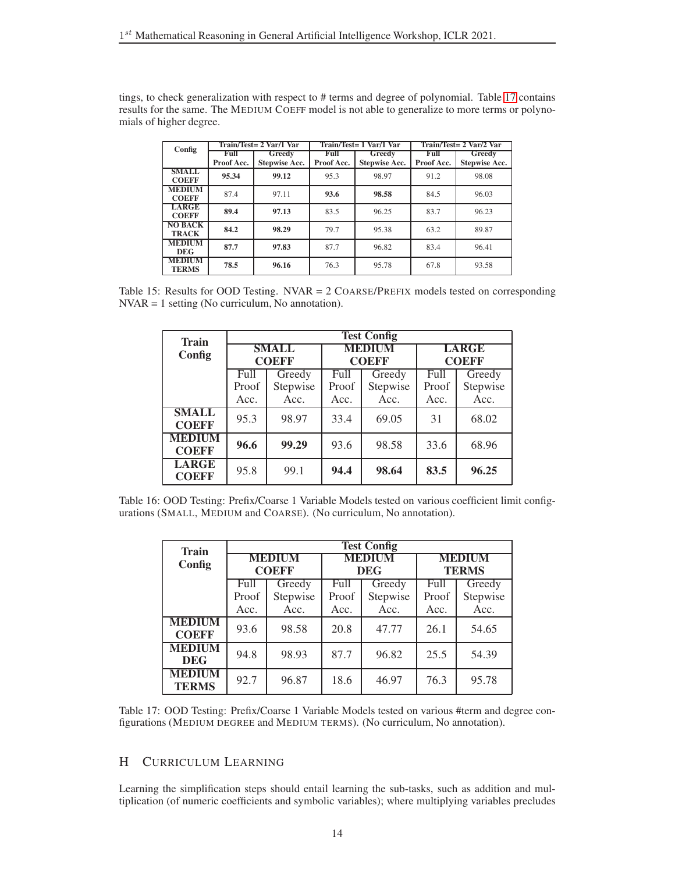<span id="page-13-1"></span>tings, to check generalization with respect to # terms and degree of polynomial. Table [17](#page-13-3) contains results for the same. The MEDIUM COEFF model is not able to generalize to more terms or polynomials of higher degree.

| Config                         |                    | Train/Test= 2 Var/1 Var        |                    | Train/Test= 1 Var/1 Var        | Train/Test= 2 Var/2 Var |                                |  |
|--------------------------------|--------------------|--------------------------------|--------------------|--------------------------------|-------------------------|--------------------------------|--|
|                                | Full<br>Proof Acc. | Greedy<br><b>Stepwise Acc.</b> | Full<br>Proof Acc. | Greedy<br><b>Stepwise Acc.</b> | Full<br>Proof Acc.      | Greedy<br><b>Stepwise Acc.</b> |  |
| <b>SMALL</b><br><b>COEFF</b>   | 95.34              | 99.12                          | 95.3               | 98.97                          | 91.2                    | 98.08                          |  |
| <b>MEDIUM</b><br><b>COEFF</b>  | 87.4               | 97.11                          | 93.6               | 98.58                          | 84.5                    | 96.03                          |  |
| <b>LARGE</b><br><b>COEFF</b>   | 89.4               | 97.13                          | 83.5               | 96.25                          | 83.7                    | 96.23                          |  |
| <b>NO BACK</b><br><b>TRACK</b> | 84.2               | 98.29                          | 79.7               | 95.38                          | 63.2                    | 89.87                          |  |
| <b>MEDIUM</b><br><b>DEG</b>    | 87.7               | 97.83                          | 87.7               | 96.82                          | 83.4                    | 96.41                          |  |
| <b>MEDIUM</b><br><b>TERMS</b>  | 78.5               | 96.16                          | 76.3               | 95.78                          | 67.8                    | 93.58                          |  |

<span id="page-13-2"></span>Table 15: Results for OOD Testing. NVAR = 2 COARSE/PREFIX models tested on corresponding NVAR = 1 setting (No curriculum, No annotation).

| <b>Train</b>                  | <b>Test Config</b> |                              |       |                               |                              |          |  |  |  |  |
|-------------------------------|--------------------|------------------------------|-------|-------------------------------|------------------------------|----------|--|--|--|--|
| Config                        |                    | <b>SMALL</b><br><b>COEFF</b> |       | <b>MEDIUM</b><br><b>COEFF</b> | <b>LARGE</b><br><b>COEFF</b> |          |  |  |  |  |
|                               | Full<br>Greedy     |                              | Full  | Greedy                        | Full                         | Greedy   |  |  |  |  |
|                               | Proof              | Stepwise                     | Proof | Stepwise                      | Proof                        | Stepwise |  |  |  |  |
|                               | Acc.               | Acc.                         | Acc.  | Acc.                          | Acc.                         | Acc.     |  |  |  |  |
| <b>SMALL</b><br><b>COEFF</b>  | 95.3               | 98.97                        | 33.4  | 69.05                         | 31                           | 68.02    |  |  |  |  |
| <b>MEDIUM</b><br><b>COEFF</b> | 96.6               | 99.29                        | 93.6  | 98.58                         | 33.6                         | 68.96    |  |  |  |  |
| <b>LARGE</b><br><b>COEFF</b>  | 95.8               | 99.1                         | 94.4  | 98.64                         | 83.5                         | 96.25    |  |  |  |  |

<span id="page-13-3"></span>Table 16: OOD Testing: Prefix/Coarse 1 Variable Models tested on various coefficient limit configurations (SMALL, MEDIUM and COARSE). (No curriculum, No annotation).

| <b>Train</b>                  | <b>Test Config</b> |                               |       |                             |                               |          |  |  |  |  |
|-------------------------------|--------------------|-------------------------------|-------|-----------------------------|-------------------------------|----------|--|--|--|--|
| Config                        |                    | <b>MEDIUM</b><br><b>COEFF</b> |       | <b>MEDIUM</b><br><b>DEG</b> | <b>MEDIUM</b><br><b>TERMS</b> |          |  |  |  |  |
|                               | Greedy<br>Full     |                               | Full  | Greedy                      | Full                          | Greedy   |  |  |  |  |
|                               | Proof              | Stepwise                      | Proof | Stepwise                    | Proof                         | Stepwise |  |  |  |  |
|                               | Acc.               | Acc.                          | Acc.  | Acc.                        | Acc.                          | Acc.     |  |  |  |  |
| <b>MEDIUM</b><br><b>COEFF</b> | 93.6               | 98.58                         | 20.8  | 47.77                       | 26.1                          | 54.65    |  |  |  |  |
| <b>MEDIUM</b><br><b>DEG</b>   | 94.8               | 98.93                         | 87.7  | 96.82                       | 25.5                          | 54.39    |  |  |  |  |
| <b>MEDIUM</b><br><b>TERMS</b> | 92.7               | 96.87                         | 18.6  | 46.97                       | 76.3                          | 95.78    |  |  |  |  |

Table 17: OOD Testing: Prefix/Coarse 1 Variable Models tested on various #term and degree configurations (MEDIUM DEGREE and MEDIUM TERMS). (No curriculum, No annotation).

# <span id="page-13-0"></span>H CURRICULUM LEARNING

Learning the simplification steps should entail learning the sub-tasks, such as addition and multiplication (of numeric coefficients and symbolic variables); where multiplying variables precludes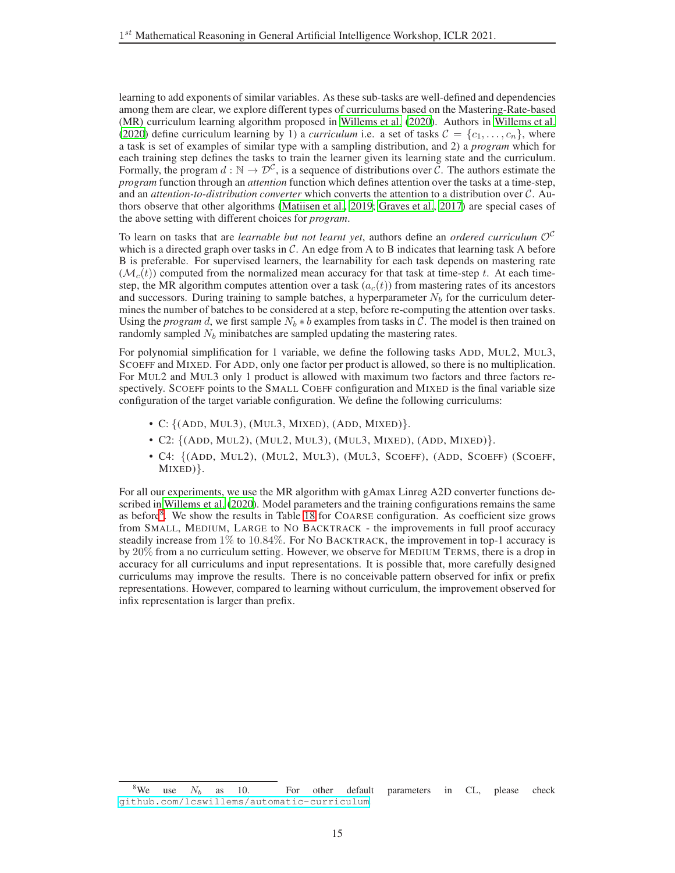learning to add exponents of similar variables. As these sub-tasks are well-defined and dependencies among them are clear, we explore different types of curriculums based on the Mastering-Rate-based (MR) curriculum learning algorithm proposed in [Willems et al. \(2020](#page-4-6)). Authors in [Willems et al.](#page-4-6) [\(2020\)](#page-4-6) define curriculum learning by 1) a *curriculum* i.e. a set of tasks  $\mathcal{C} = \{c_1, \ldots, c_n\}$ , where a task is set of examples of similar type with a sampling distribution, and 2) a *program* which for each training step defines the tasks to train the learner given its learning state and the curriculum. Formally, the program  $d : \mathbb{N} \to \mathcal{D}^c$ , is a sequence of distributions over  $\tilde{C}$ . The authors estimate the *program* function through an *attention* function which defines attention over the tasks at a time-step, and an *attention-to-distribution converter* which converts the attention to a distribution over C. Authors observe that other algorithms [\(Matiisen et al.](#page-4-8), [2019;](#page-4-8) [Graves et al., 2017](#page-4-9)) are special cases of the above setting with different choices for *program*.

To learn on tasks that are *learnable but not learnt yet*, authors define an *ordered curriculum* O<sup>C</sup> which is a directed graph over tasks in  $C$ . An edge from A to B indicates that learning task A before B is preferable. For supervised learners, the learnability for each task depends on mastering rate  $(\mathcal{M}_c(t))$  computed from the normalized mean accuracy for that task at time-step t. At each timestep, the MR algorithm computes attention over a task  $(a_c(t))$  from mastering rates of its ancestors and successors. During training to sample batches, a hyperparameter  $N_b$  for the curriculum determines the number of batches to be considered at a step, before re-computing the attention over tasks. Using the *program* d, we first sample  $N_b * b$  examples from tasks in C. The model is then trained on randomly sampled  $N_b$  minibatches are sampled updating the mastering rates.

For polynomial simplification for 1 variable, we define the following tasks ADD, MUL2, MUL3, SCOEFF and MIXED. For ADD, only one factor per product is allowed, so there is no multiplication. For MUL2 and MUL3 only 1 product is allowed with maximum two factors and three factors respectively. SCOEFF points to the SMALL COEFF configuration and MIXED is the final variable size configuration of the target variable configuration. We define the following curriculums:

- C: {(ADD, MUL3), (MUL3, MIXED), (ADD, MIXED)}.
- C2:  $\{(\text{ADD}, \text{MUL2}), (\text{MUL2}, \text{MUL3}), (\text{MUL3}, \text{MIXED}), (\text{ADD}, \text{MIXED})\}.$
- C4: {(ADD, MUL2), (MUL2, MUL3), (MUL3, SCOEFF), (ADD, SCOEFF) (SCOEFF, MIXED)}.

For all our experiments, we use the MR algorithm with gAmax Linreg A2D converter functions described in [Willems et al.](#page-4-6) [\(2020\)](#page-4-6). Model parameters and the training configurations remains the same as before<sup>[8](#page-14-0)</sup>. We show the results in Table [18](#page-15-0) for COARSE configuration. As coefficient size grows from SMALL, MEDIUM, LARGE to NO BACKTRACK - the improvements in full proof accuracy steadily increase from 1% to 10.84%. For NO BACKTRACK, the improvement in top-1 accuracy is by 20% from a no curriculum setting. However, we observe for MEDIUM TERMS, there is a drop in accuracy for all curriculums and input representations. It is possible that, more carefully designed curriculums may improve the results. There is no conceivable pattern observed for infix or prefix representations. However, compared to learning without curriculum, the improvement observed for infix representation is larger than prefix.

<span id="page-14-0"></span><sup>&</sup>lt;sup>8</sup>We use  $N_b$  as 10. For other default parameters in CL, please check <github.com/lcswillems/automatic-curriculum>.